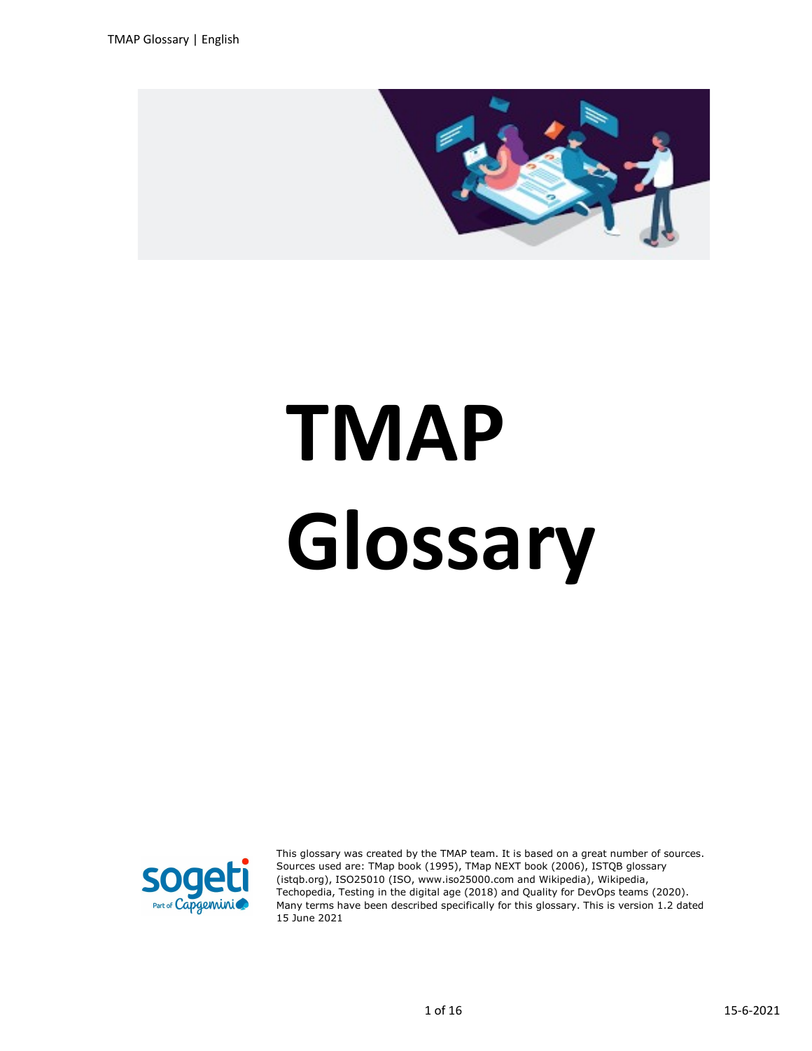

## TMAP Glossary



This glossary was created by the TMAP team. It is based on a great number of sources. Sources used are: TMap book (1995), TMap NEXT book (2006), ISTQB glossary (istqb.org), ISO25010 (ISO, www.iso25000.com and Wikipedia), Wikipedia, Techopedia, Testing in the digital age (2018) and Quality for DevOps teams (2020). Many terms have been described specifically for this glossary. This is version 1.2 dated 15 June 2021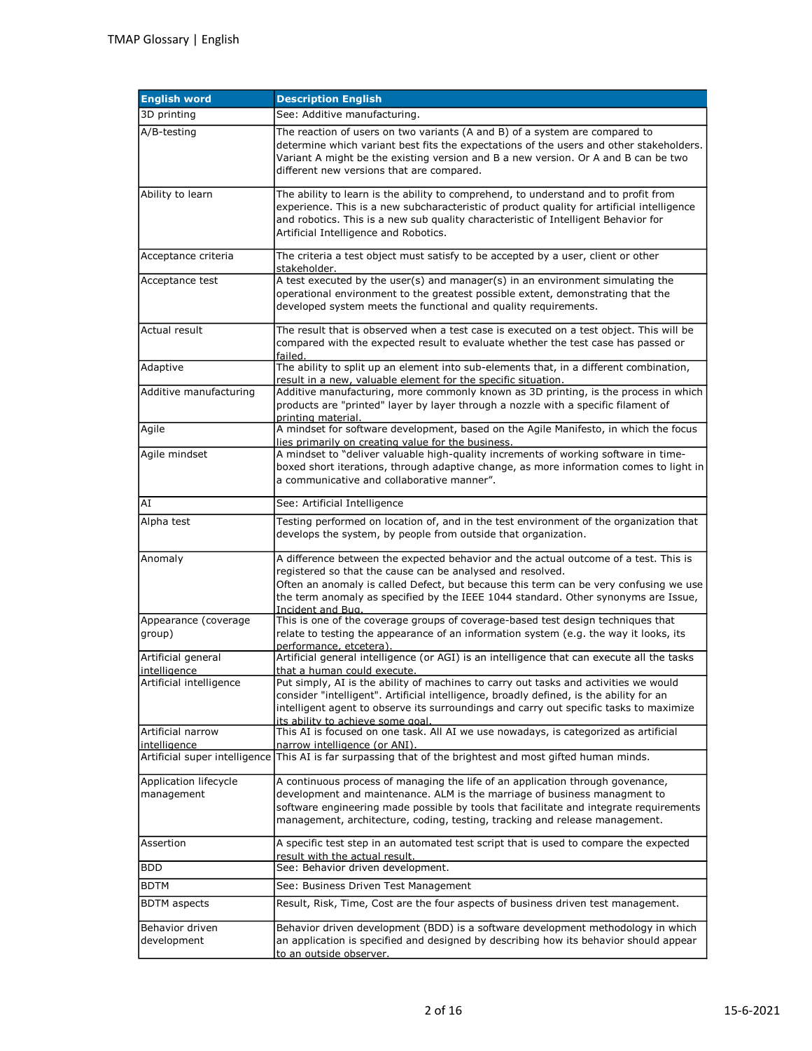| <b>English word</b>                     | <b>Description English</b>                                                                                                                                                                                                                                                                                                                             |
|-----------------------------------------|--------------------------------------------------------------------------------------------------------------------------------------------------------------------------------------------------------------------------------------------------------------------------------------------------------------------------------------------------------|
| 3D printing                             | See: Additive manufacturing.                                                                                                                                                                                                                                                                                                                           |
| A/B-testing                             | The reaction of users on two variants (A and B) of a system are compared to<br>determine which variant best fits the expectations of the users and other stakeholders.<br>Variant A might be the existing version and B a new version. Or A and B can be two<br>different new versions that are compared.                                              |
| Ability to learn                        | The ability to learn is the ability to comprehend, to understand and to profit from<br>experience. This is a new subcharacteristic of product quality for artificial intelligence<br>and robotics. This is a new sub quality characteristic of Intelligent Behavior for<br>Artificial Intelligence and Robotics.                                       |
| Acceptance criteria                     | The criteria a test object must satisfy to be accepted by a user, client or other<br>stakeholder.                                                                                                                                                                                                                                                      |
| Acceptance test                         | A test executed by the user(s) and manager(s) in an environment simulating the<br>operational environment to the greatest possible extent, demonstrating that the<br>developed system meets the functional and quality requirements.                                                                                                                   |
| Actual result                           | The result that is observed when a test case is executed on a test object. This will be<br>compared with the expected result to evaluate whether the test case has passed or<br>failed.                                                                                                                                                                |
| Adaptive                                | The ability to split up an element into sub-elements that, in a different combination,<br>result in a new, valuable element for the specific situation.                                                                                                                                                                                                |
| Additive manufacturing                  | Additive manufacturing, more commonly known as 3D printing, is the process in which<br>products are "printed" layer by layer through a nozzle with a specific filament of<br>printing material.                                                                                                                                                        |
| Agile                                   | A mindset for software development, based on the Agile Manifesto, in which the focus<br>lies primarily on creating value for the business.                                                                                                                                                                                                             |
| Agile mindset                           | A mindset to "deliver valuable high-quality increments of working software in time-<br>boxed short iterations, through adaptive change, as more information comes to light in<br>a communicative and collaborative manner".                                                                                                                            |
| AI                                      | See: Artificial Intelligence                                                                                                                                                                                                                                                                                                                           |
| Alpha test                              | Testing performed on location of, and in the test environment of the organization that<br>develops the system, by people from outside that organization.                                                                                                                                                                                               |
| Anomaly                                 | A difference between the expected behavior and the actual outcome of a test. This is<br>registered so that the cause can be analysed and resolved.<br>Often an anomaly is called Defect, but because this term can be very confusing we use<br>the term anomaly as specified by the IEEE 1044 standard. Other synonyms are Issue,<br>Incident and Bug. |
| Appearance (coverage<br>group)          | This is one of the coverage groups of coverage-based test design techniques that<br>relate to testing the appearance of an information system (e.g. the way it looks, its<br>performance, etcetera).                                                                                                                                                   |
| Artificial general                      | Artificial general intelligence (or AGI) is an intelligence that can execute all the tasks                                                                                                                                                                                                                                                             |
| intelligence<br>Artificial intelligence | that a human could execute.<br>Put simply, AI is the ability of machines to carry out tasks and activities we would<br>consider "intelligent". Artificial intelligence, broadly defined, is the ability for an<br>intelligent agent to observe its surroundings and carry out specific tasks to maximize<br>its ability to achieve some goal.          |
| Artificial narrow<br>intelligence       | This AI is focused on one task. All AI we use nowadays, is categorized as artificial<br>narrow intelligence (or ANI).                                                                                                                                                                                                                                  |
| Artificial super intelligence           | This AI is far surpassing that of the brightest and most gifted human minds.                                                                                                                                                                                                                                                                           |
| Application lifecycle<br>management     | A continuous process of managing the life of an application through govenance,<br>development and maintenance. ALM is the marriage of business managment to<br>software engineering made possible by tools that facilitate and integrate requirements<br>management, architecture, coding, testing, tracking and release management.                   |
| Assertion                               | A specific test step in an automated test script that is used to compare the expected<br>result with the actual result.                                                                                                                                                                                                                                |
| BDD                                     | See: Behavior driven development.                                                                                                                                                                                                                                                                                                                      |
| <b>BDTM</b>                             | See: Business Driven Test Management                                                                                                                                                                                                                                                                                                                   |
| <b>BDTM</b> aspects                     | Result, Risk, Time, Cost are the four aspects of business driven test management.                                                                                                                                                                                                                                                                      |
| Behavior driven<br>development          | Behavior driven development (BDD) is a software development methodology in which<br>an application is specified and designed by describing how its behavior should appear<br>to an outside observer.                                                                                                                                                   |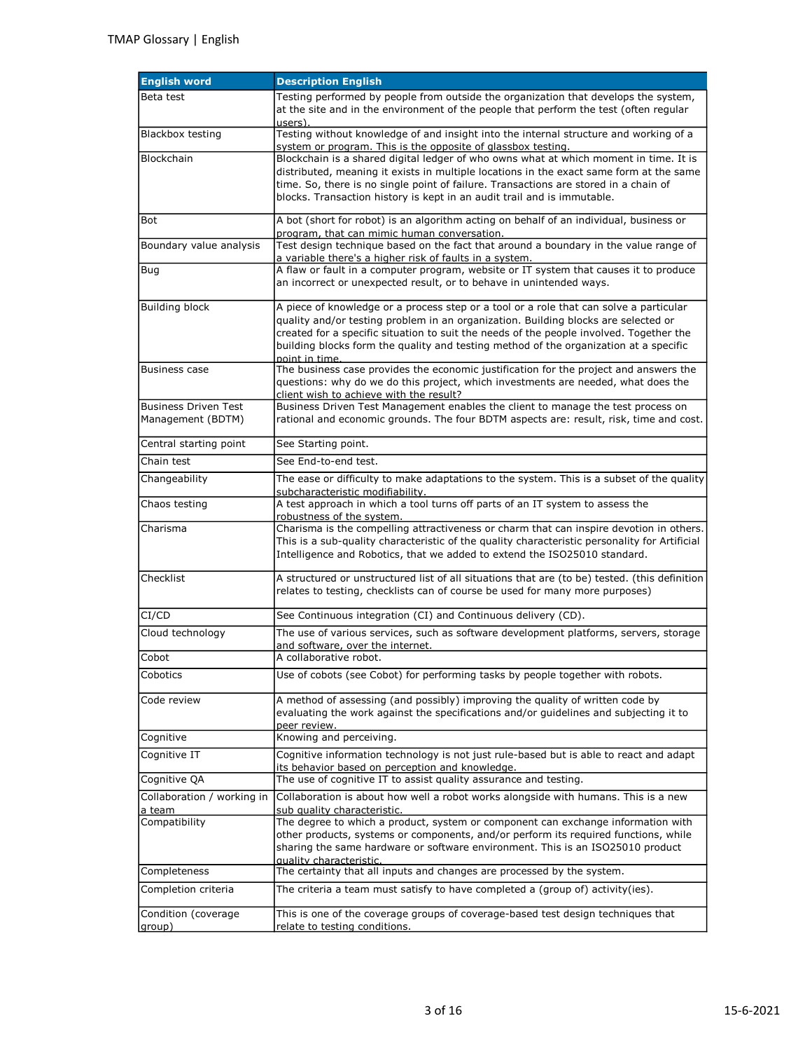| <b>English word</b>           | <b>Description English</b>                                                                                                                                                                                                                                                                                                                                                         |
|-------------------------------|------------------------------------------------------------------------------------------------------------------------------------------------------------------------------------------------------------------------------------------------------------------------------------------------------------------------------------------------------------------------------------|
| Beta test                     | Testing performed by people from outside the organization that develops the system,<br>at the site and in the environment of the people that perform the test (often regular<br>users).                                                                                                                                                                                            |
| Blackbox testing              | Testing without knowledge of and insight into the internal structure and working of a<br>system or program. This is the opposite of glassbox testing.                                                                                                                                                                                                                              |
| Blockchain                    | Blockchain is a shared digital ledger of who owns what at which moment in time. It is<br>distributed, meaning it exists in multiple locations in the exact same form at the same<br>time. So, there is no single point of failure. Transactions are stored in a chain of<br>blocks. Transaction history is kept in an audit trail and is immutable.                                |
| Bot                           | A bot (short for robot) is an algorithm acting on behalf of an individual, business or<br>program, that can mimic human conversation.                                                                                                                                                                                                                                              |
| Boundary value analysis       | Test design technique based on the fact that around a boundary in the value range of<br>a variable there's a higher risk of faults in a system.                                                                                                                                                                                                                                    |
| Bug                           | A flaw or fault in a computer program, website or IT system that causes it to produce<br>an incorrect or unexpected result, or to behave in unintended ways.                                                                                                                                                                                                                       |
| <b>Building block</b>         | A piece of knowledge or a process step or a tool or a role that can solve a particular<br>quality and/or testing problem in an organization. Building blocks are selected or<br>created for a specific situation to suit the needs of the people involved. Together the<br>building blocks form the quality and testing method of the organization at a specific<br>point in time. |
| <b>Business case</b>          | The business case provides the economic justification for the project and answers the<br>questions: why do we do this project, which investments are needed, what does the<br>client wish to achieve with the result?                                                                                                                                                              |
| <b>Business Driven Test</b>   | Business Driven Test Management enables the client to manage the test process on                                                                                                                                                                                                                                                                                                   |
| Management (BDTM)             | rational and economic grounds. The four BDTM aspects are: result, risk, time and cost.                                                                                                                                                                                                                                                                                             |
| Central starting point        | See Starting point.                                                                                                                                                                                                                                                                                                                                                                |
| Chain test                    | See End-to-end test.                                                                                                                                                                                                                                                                                                                                                               |
| Changeability                 | The ease or difficulty to make adaptations to the system. This is a subset of the quality<br>subcharacteristic modifiability.                                                                                                                                                                                                                                                      |
| Chaos testing                 | A test approach in which a tool turns off parts of an IT system to assess the<br>robustness of the system.                                                                                                                                                                                                                                                                         |
| Charisma                      | Charisma is the compelling attractiveness or charm that can inspire devotion in others.<br>This is a sub-quality characteristic of the quality characteristic personality for Artificial<br>Intelligence and Robotics, that we added to extend the ISO25010 standard.                                                                                                              |
| Checklist                     | A structured or unstructured list of all situations that are (to be) tested. (this definition<br>relates to testing, checklists can of course be used for many more purposes)                                                                                                                                                                                                      |
| CI/CD                         | See Continuous integration (CI) and Continuous delivery (CD).                                                                                                                                                                                                                                                                                                                      |
| Cloud technology              | The use of various services, such as software development platforms, servers, storage<br>and software, over the internet.                                                                                                                                                                                                                                                          |
| Cobot                         | A collaborative robot.                                                                                                                                                                                                                                                                                                                                                             |
| Cobotics                      | Use of cobots (see Cobot) for performing tasks by people together with robots.                                                                                                                                                                                                                                                                                                     |
| Code review                   | A method of assessing (and possibly) improving the quality of written code by<br>evaluating the work against the specifications and/or guidelines and subjecting it to<br>peer review.                                                                                                                                                                                             |
| Cognitive                     | Knowing and perceiving.                                                                                                                                                                                                                                                                                                                                                            |
| Cognitive IT                  | Cognitive information technology is not just rule-based but is able to react and adapt<br>its behavior based on perception and knowledge.                                                                                                                                                                                                                                          |
| Cognitive QA                  | The use of cognitive IT to assist quality assurance and testing.                                                                                                                                                                                                                                                                                                                   |
| Collaboration / working in    | Collaboration is about how well a robot works alongside with humans. This is a new                                                                                                                                                                                                                                                                                                 |
| a team<br>Compatibility       | sub quality characteristic.<br>The degree to which a product, system or component can exchange information with<br>other products, systems or components, and/or perform its required functions, while                                                                                                                                                                             |
|                               | sharing the same hardware or software environment. This is an ISO25010 product<br>quality characteristic.                                                                                                                                                                                                                                                                          |
| Completeness                  | The certainty that all inputs and changes are processed by the system.                                                                                                                                                                                                                                                                                                             |
| Completion criteria           | The criteria a team must satisfy to have completed a (group of) activity(ies).                                                                                                                                                                                                                                                                                                     |
| Condition (coverage<br>group) | This is one of the coverage groups of coverage-based test design techniques that<br>relate to testing conditions.                                                                                                                                                                                                                                                                  |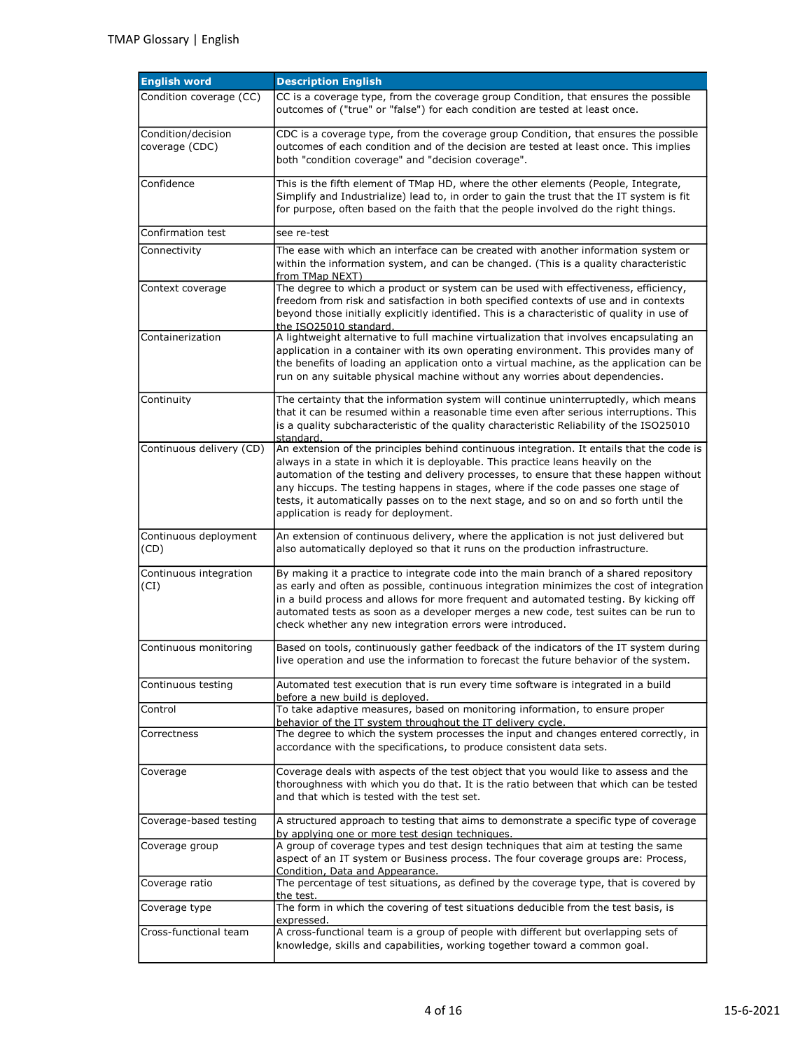| <b>English word</b>                  | <b>Description English</b>                                                                                                                                                                                                                                                                                                                                                                                                                                                                  |
|--------------------------------------|---------------------------------------------------------------------------------------------------------------------------------------------------------------------------------------------------------------------------------------------------------------------------------------------------------------------------------------------------------------------------------------------------------------------------------------------------------------------------------------------|
| Condition coverage (CC)              | CC is a coverage type, from the coverage group Condition, that ensures the possible<br>outcomes of ("true" or "false") for each condition are tested at least once.                                                                                                                                                                                                                                                                                                                         |
| Condition/decision<br>coverage (CDC) | CDC is a coverage type, from the coverage group Condition, that ensures the possible<br>outcomes of each condition and of the decision are tested at least once. This implies<br>both "condition coverage" and "decision coverage".                                                                                                                                                                                                                                                         |
| Confidence                           | This is the fifth element of TMap HD, where the other elements (People, Integrate,<br>Simplify and Industrialize) lead to, in order to gain the trust that the IT system is fit<br>for purpose, often based on the faith that the people involved do the right things.                                                                                                                                                                                                                      |
| Confirmation test                    | see re-test                                                                                                                                                                                                                                                                                                                                                                                                                                                                                 |
| Connectivity                         | The ease with which an interface can be created with another information system or<br>within the information system, and can be changed. (This is a quality characteristic<br>from TMap NEXT)                                                                                                                                                                                                                                                                                               |
| Context coverage                     | The degree to which a product or system can be used with effectiveness, efficiency,<br>freedom from risk and satisfaction in both specified contexts of use and in contexts<br>beyond those initially explicitly identified. This is a characteristic of quality in use of<br>the ISO25010 standard.                                                                                                                                                                                        |
| Containerization                     | A lightweight alternative to full machine virtualization that involves encapsulating an<br>application in a container with its own operating environment. This provides many of<br>the benefits of loading an application onto a virtual machine, as the application can be<br>run on any suitable physical machine without any worries about dependencies.                                                                                                                                 |
| Continuity                           | The certainty that the information system will continue uninterruptedly, which means<br>that it can be resumed within a reasonable time even after serious interruptions. This<br>is a quality subcharacteristic of the quality characteristic Reliability of the ISO25010<br>standard.                                                                                                                                                                                                     |
| Continuous delivery (CD)             | An extension of the principles behind continuous integration. It entails that the code is<br>always in a state in which it is deployable. This practice leans heavily on the<br>automation of the testing and delivery processes, to ensure that these happen without<br>any hiccups. The testing happens in stages, where if the code passes one stage of<br>tests, it automatically passes on to the next stage, and so on and so forth until the<br>application is ready for deployment. |
| Continuous deployment<br>(CD)        | An extension of continuous delivery, where the application is not just delivered but<br>also automatically deployed so that it runs on the production infrastructure.                                                                                                                                                                                                                                                                                                                       |
| Continuous integration<br>(CI)       | By making it a practice to integrate code into the main branch of a shared repository<br>as early and often as possible, continuous integration minimizes the cost of integration<br>in a build process and allows for more frequent and automated testing. By kicking off<br>automated tests as soon as a developer merges a new code, test suites can be run to<br>check whether any new integration errors were introduced.                                                              |
| Continuous monitoring                | Based on tools, continuously gather feedback of the indicators of the IT system during<br>live operation and use the information to forecast the future behavior of the system.                                                                                                                                                                                                                                                                                                             |
| Continuous testing                   | Automated test execution that is run every time software is integrated in a build<br>before a new build is deployed.                                                                                                                                                                                                                                                                                                                                                                        |
| Control                              | To take adaptive measures, based on monitoring information, to ensure proper<br>behavior of the IT system throughout the IT delivery cycle.                                                                                                                                                                                                                                                                                                                                                 |
| Correctness                          | The degree to which the system processes the input and changes entered correctly, in<br>accordance with the specifications, to produce consistent data sets.                                                                                                                                                                                                                                                                                                                                |
| Coverage                             | Coverage deals with aspects of the test object that you would like to assess and the<br>thoroughness with which you do that. It is the ratio between that which can be tested<br>and that which is tested with the test set.                                                                                                                                                                                                                                                                |
| Coverage-based testing               | A structured approach to testing that aims to demonstrate a specific type of coverage<br>by applying one or more test design techniques.                                                                                                                                                                                                                                                                                                                                                    |
| Coverage group                       | A group of coverage types and test design techniques that aim at testing the same<br>aspect of an IT system or Business process. The four coverage groups are: Process,<br>Condition, Data and Appearance.                                                                                                                                                                                                                                                                                  |
| Coverage ratio                       | The percentage of test situations, as defined by the coverage type, that is covered by<br>the test.                                                                                                                                                                                                                                                                                                                                                                                         |
| Coverage type                        | The form in which the covering of test situations deducible from the test basis, is<br>expressed.                                                                                                                                                                                                                                                                                                                                                                                           |
| Cross-functional team                | A cross-functional team is a group of people with different but overlapping sets of<br>knowledge, skills and capabilities, working together toward a common goal.                                                                                                                                                                                                                                                                                                                           |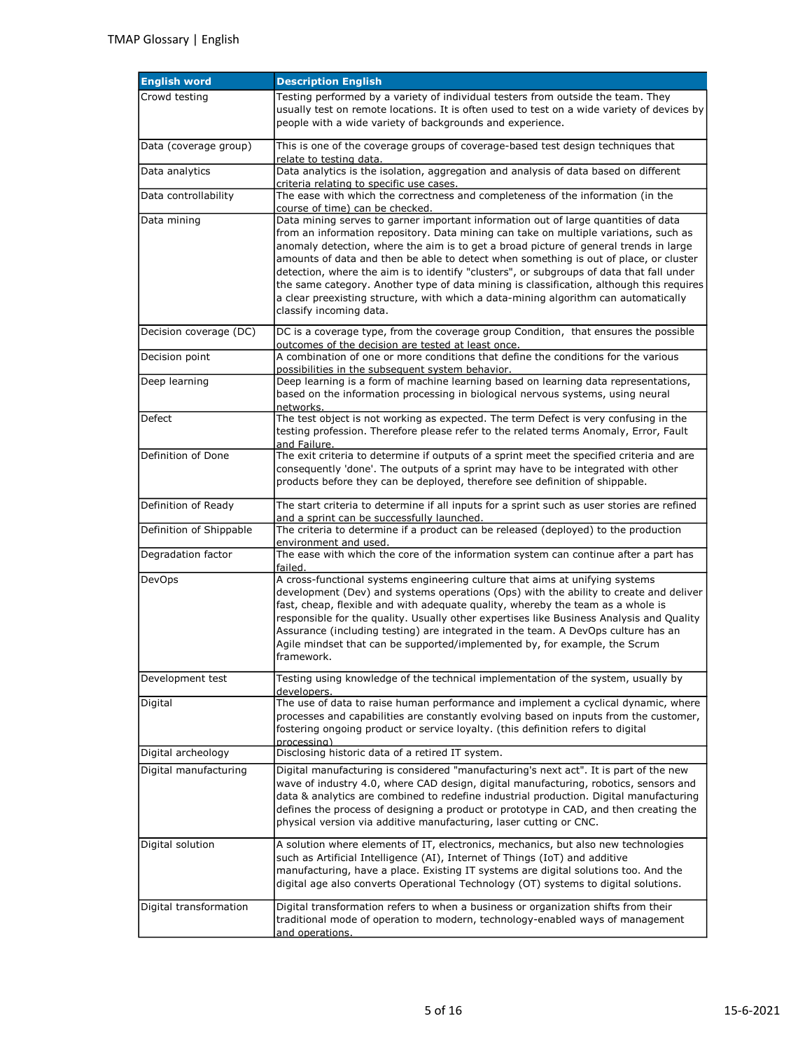| <b>English word</b>     | <b>Description English</b>                                                                                                                                                                                                                                                                                                                                                                                                                                                                                                                                                                                                                                             |
|-------------------------|------------------------------------------------------------------------------------------------------------------------------------------------------------------------------------------------------------------------------------------------------------------------------------------------------------------------------------------------------------------------------------------------------------------------------------------------------------------------------------------------------------------------------------------------------------------------------------------------------------------------------------------------------------------------|
| Crowd testing           | Testing performed by a variety of individual testers from outside the team. They<br>usually test on remote locations. It is often used to test on a wide variety of devices by<br>people with a wide variety of backgrounds and experience.                                                                                                                                                                                                                                                                                                                                                                                                                            |
| Data (coverage group)   | This is one of the coverage groups of coverage-based test design techniques that<br>relate to testing data.                                                                                                                                                                                                                                                                                                                                                                                                                                                                                                                                                            |
| Data analytics          | Data analytics is the isolation, aggregation and analysis of data based on different<br>criteria relating to specific use cases.                                                                                                                                                                                                                                                                                                                                                                                                                                                                                                                                       |
| Data controllability    | The ease with which the correctness and completeness of the information (in the<br>course of time) can be checked.                                                                                                                                                                                                                                                                                                                                                                                                                                                                                                                                                     |
| Data mining             | Data mining serves to garner important information out of large quantities of data<br>from an information repository. Data mining can take on multiple variations, such as<br>anomaly detection, where the aim is to get a broad picture of general trends in large<br>amounts of data and then be able to detect when something is out of place, or cluster<br>detection, where the aim is to identify "clusters", or subgroups of data that fall under<br>the same category. Another type of data mining is classification, although this requires<br>a clear preexisting structure, with which a data-mining algorithm can automatically<br>classify incoming data. |
| Decision coverage (DC)  | DC is a coverage type, from the coverage group Condition, that ensures the possible<br>outcomes of the decision are tested at least once.                                                                                                                                                                                                                                                                                                                                                                                                                                                                                                                              |
| Decision point          | A combination of one or more conditions that define the conditions for the various<br>possibilities in the subsequent system behavior.                                                                                                                                                                                                                                                                                                                                                                                                                                                                                                                                 |
| Deep learning           | Deep learning is a form of machine learning based on learning data representations,<br>based on the information processing in biological nervous systems, using neural<br>networks.                                                                                                                                                                                                                                                                                                                                                                                                                                                                                    |
| Defect                  | The test object is not working as expected. The term Defect is very confusing in the<br>testing profession. Therefore please refer to the related terms Anomaly, Error, Fault<br>and Failure.                                                                                                                                                                                                                                                                                                                                                                                                                                                                          |
| Definition of Done      | The exit criteria to determine if outputs of a sprint meet the specified criteria and are<br>consequently 'done'. The outputs of a sprint may have to be integrated with other<br>products before they can be deployed, therefore see definition of shippable.                                                                                                                                                                                                                                                                                                                                                                                                         |
| Definition of Ready     | The start criteria to determine if all inputs for a sprint such as user stories are refined<br>and a sprint can be successfully launched.                                                                                                                                                                                                                                                                                                                                                                                                                                                                                                                              |
| Definition of Shippable | The criteria to determine if a product can be released (deployed) to the production<br>environment and used.                                                                                                                                                                                                                                                                                                                                                                                                                                                                                                                                                           |
| Degradation factor      | The ease with which the core of the information system can continue after a part has<br>failed.                                                                                                                                                                                                                                                                                                                                                                                                                                                                                                                                                                        |
| <b>DevOps</b>           | A cross-functional systems engineering culture that aims at unifying systems<br>development (Dev) and systems operations (Ops) with the ability to create and deliver<br>fast, cheap, flexible and with adequate quality, whereby the team as a whole is<br>responsible for the quality. Usually other expertises like Business Analysis and Quality<br>Assurance (including testing) are integrated in the team. A DevOps culture has an<br>Agile mindset that can be supported/implemented by, for example, the Scrum<br>framework.                                                                                                                                  |
| Development test        | Testing using knowledge of the technical implementation of the system, usually by<br>developers.                                                                                                                                                                                                                                                                                                                                                                                                                                                                                                                                                                       |
| Digital                 | The use of data to raise human performance and implement a cyclical dynamic, where<br>processes and capabilities are constantly evolving based on inputs from the customer,<br>fostering ongoing product or service loyalty. (this definition refers to digital<br>processing)                                                                                                                                                                                                                                                                                                                                                                                         |
| Digital archeology      | Disclosing historic data of a retired IT system.                                                                                                                                                                                                                                                                                                                                                                                                                                                                                                                                                                                                                       |
| Digital manufacturing   | Digital manufacturing is considered "manufacturing's next act". It is part of the new<br>wave of industry 4.0, where CAD design, digital manufacturing, robotics, sensors and<br>data & analytics are combined to redefine industrial production. Digital manufacturing<br>defines the process of designing a product or prototype in CAD, and then creating the<br>physical version via additive manufacturing, laser cutting or CNC.                                                                                                                                                                                                                                 |
| Digital solution        | A solution where elements of IT, electronics, mechanics, but also new technologies<br>such as Artificial Intelligence (AI), Internet of Things (IoT) and additive<br>manufacturing, have a place. Existing IT systems are digital solutions too. And the<br>digital age also converts Operational Technology (OT) systems to digital solutions.                                                                                                                                                                                                                                                                                                                        |
| Digital transformation  | Digital transformation refers to when a business or organization shifts from their<br>traditional mode of operation to modern, technology-enabled ways of management<br>and operations.                                                                                                                                                                                                                                                                                                                                                                                                                                                                                |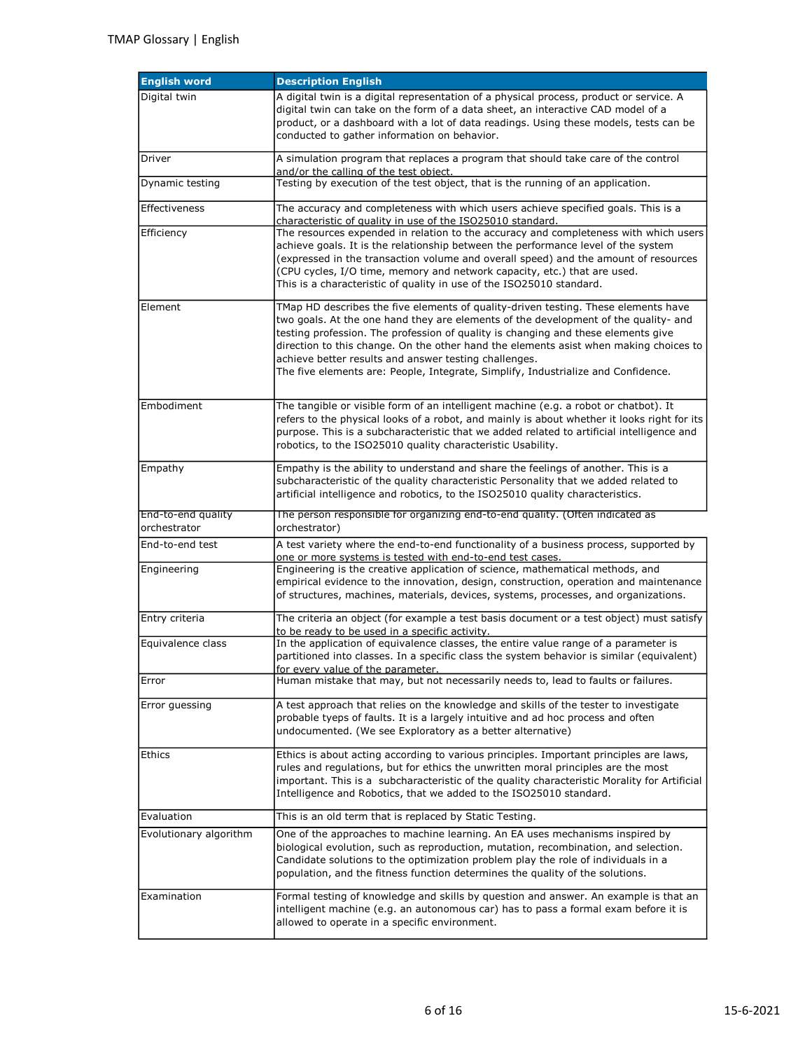| <b>English word</b>                | <b>Description English</b>                                                                                                                                                                                                                                                                                                                                                                                                                                                                            |
|------------------------------------|-------------------------------------------------------------------------------------------------------------------------------------------------------------------------------------------------------------------------------------------------------------------------------------------------------------------------------------------------------------------------------------------------------------------------------------------------------------------------------------------------------|
| Digital twin                       | A digital twin is a digital representation of a physical process, product or service. A<br>digital twin can take on the form of a data sheet, an interactive CAD model of a<br>product, or a dashboard with a lot of data readings. Using these models, tests can be<br>conducted to gather information on behavior.                                                                                                                                                                                  |
| Driver                             | A simulation program that replaces a program that should take care of the control<br>and/or the calling of the test object.                                                                                                                                                                                                                                                                                                                                                                           |
| Dynamic testing                    | Testing by execution of the test object, that is the running of an application.                                                                                                                                                                                                                                                                                                                                                                                                                       |
| Effectiveness                      | The accuracy and completeness with which users achieve specified goals. This is a<br>characteristic of quality in use of the ISO25010 standard.                                                                                                                                                                                                                                                                                                                                                       |
| Efficiency                         | The resources expended in relation to the accuracy and completeness with which users<br>achieve goals. It is the relationship between the performance level of the system<br>(expressed in the transaction volume and overall speed) and the amount of resources<br>(CPU cycles, I/O time, memory and network capacity, etc.) that are used.<br>This is a characteristic of quality in use of the ISO25010 standard.                                                                                  |
| Element                            | TMap HD describes the five elements of quality-driven testing. These elements have<br>two goals. At the one hand they are elements of the development of the quality- and<br>testing profession. The profession of quality is changing and these elements give<br>direction to this change. On the other hand the elements asist when making choices to<br>achieve better results and answer testing challenges.<br>The five elements are: People, Integrate, Simplify, Industrialize and Confidence. |
| Embodiment                         | The tangible or visible form of an intelligent machine (e.g. a robot or chatbot). It<br>refers to the physical looks of a robot, and mainly is about whether it looks right for its<br>purpose. This is a subcharacteristic that we added related to artificial intelligence and<br>robotics, to the ISO25010 quality characteristic Usability.                                                                                                                                                       |
| Empathy                            | Empathy is the ability to understand and share the feelings of another. This is a<br>subcharacteristic of the quality characteristic Personality that we added related to<br>artificial intelligence and robotics, to the ISO25010 quality characteristics.                                                                                                                                                                                                                                           |
| End-to-end quality<br>orchestrator | The person responsible for organizing end-to-end quality. (Often indicated as<br>orchestrator)                                                                                                                                                                                                                                                                                                                                                                                                        |
| End-to-end test                    | A test variety where the end-to-end functionality of a business process, supported by<br>one or more systems is tested with end-to-end test cases.                                                                                                                                                                                                                                                                                                                                                    |
| Engineering                        | Engineering is the creative application of science, mathematical methods, and<br>empirical evidence to the innovation, design, construction, operation and maintenance<br>of structures, machines, materials, devices, systems, processes, and organizations.                                                                                                                                                                                                                                         |
| Entry criteria                     | The criteria an object (for example a test basis document or a test object) must satisfy<br>to be ready to be used in a specific activity.                                                                                                                                                                                                                                                                                                                                                            |
| Equivalence class                  | In the application of equivalence classes, the entire value range of a parameter is<br>partitioned into classes. In a specific class the system behavior is similar (equivalent)<br><u>for every value of the parameter.</u>                                                                                                                                                                                                                                                                          |
| Error                              | Human mistake that may, but not necessarily needs to, lead to faults or failures.                                                                                                                                                                                                                                                                                                                                                                                                                     |
| Error guessing                     | A test approach that relies on the knowledge and skills of the tester to investigate<br>probable tyeps of faults. It is a largely intuitive and ad hoc process and often<br>undocumented. (We see Exploratory as a better alternative)                                                                                                                                                                                                                                                                |
| Ethics                             | Ethics is about acting according to various principles. Important principles are laws,<br>rules and regulations, but for ethics the unwritten moral principles are the most<br>important. This is a subcharacteristic of the quality characteristic Morality for Artificial<br>Intelligence and Robotics, that we added to the ISO25010 standard.                                                                                                                                                     |
| Evaluation                         | This is an old term that is replaced by Static Testing.                                                                                                                                                                                                                                                                                                                                                                                                                                               |
| Evolutionary algorithm             | One of the approaches to machine learning. An EA uses mechanisms inspired by<br>biological evolution, such as reproduction, mutation, recombination, and selection.<br>Candidate solutions to the optimization problem play the role of individuals in a<br>population, and the fitness function determines the quality of the solutions.                                                                                                                                                             |
| Examination                        | Formal testing of knowledge and skills by question and answer. An example is that an<br>intelligent machine (e.g. an autonomous car) has to pass a formal exam before it is<br>allowed to operate in a specific environment.                                                                                                                                                                                                                                                                          |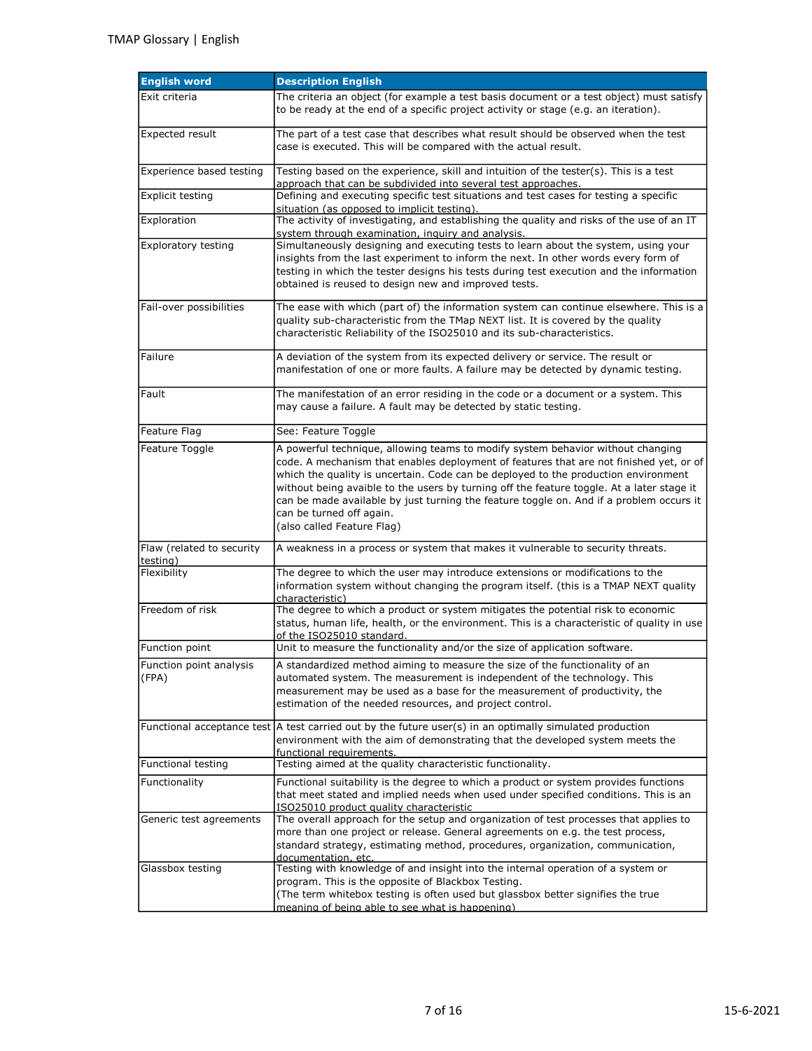| <b>English word</b>                   | <b>Description English</b>                                                                                                                                                                                                                                                                                                                                                                                                                                                                                        |
|---------------------------------------|-------------------------------------------------------------------------------------------------------------------------------------------------------------------------------------------------------------------------------------------------------------------------------------------------------------------------------------------------------------------------------------------------------------------------------------------------------------------------------------------------------------------|
| Exit criteria                         | The criteria an object (for example a test basis document or a test object) must satisfy<br>to be ready at the end of a specific project activity or stage (e.g. an iteration).                                                                                                                                                                                                                                                                                                                                   |
| <b>Expected result</b>                | The part of a test case that describes what result should be observed when the test<br>case is executed. This will be compared with the actual result.                                                                                                                                                                                                                                                                                                                                                            |
| Experience based testing              | Testing based on the experience, skill and intuition of the tester(s). This is a test<br>approach that can be subdivided into several test approaches.                                                                                                                                                                                                                                                                                                                                                            |
| Explicit testing                      | Defining and executing specific test situations and test cases for testing a specific<br>situation (as opposed to implicit testing).                                                                                                                                                                                                                                                                                                                                                                              |
| Exploration                           | The activity of investigating, and establishing the quality and risks of the use of an IT<br>system through examination, inquiry and analysis.                                                                                                                                                                                                                                                                                                                                                                    |
| <b>Exploratory testing</b>            | Simultaneously designing and executing tests to learn about the system, using your<br>insights from the last experiment to inform the next. In other words every form of<br>testing in which the tester designs his tests during test execution and the information<br>obtained is reused to design new and improved tests.                                                                                                                                                                                       |
| Fail-over possibilities               | The ease with which (part of) the information system can continue elsewhere. This is a<br>quality sub-characteristic from the TMap NEXT list. It is covered by the quality<br>characteristic Reliability of the ISO25010 and its sub-characteristics.                                                                                                                                                                                                                                                             |
| Failure                               | A deviation of the system from its expected delivery or service. The result or<br>manifestation of one or more faults. A failure may be detected by dynamic testing.                                                                                                                                                                                                                                                                                                                                              |
| Fault                                 | The manifestation of an error residing in the code or a document or a system. This<br>may cause a failure. A fault may be detected by static testing.                                                                                                                                                                                                                                                                                                                                                             |
| Feature Flag                          | See: Feature Toggle                                                                                                                                                                                                                                                                                                                                                                                                                                                                                               |
| Feature Toggle                        | A powerful technique, allowing teams to modify system behavior without changing<br>code. A mechanism that enables deployment of features that are not finished yet, or of<br>which the quality is uncertain. Code can be deployed to the production environment<br>without being avaible to the users by turning off the feature toggle. At a later stage it<br>can be made available by just turning the feature toggle on. And if a problem occurs it<br>can be turned off again.<br>(also called Feature Flag) |
| Flaw (related to security<br>testing) | A weakness in a process or system that makes it vulnerable to security threats.                                                                                                                                                                                                                                                                                                                                                                                                                                   |
| Flexibility                           | The degree to which the user may introduce extensions or modifications to the<br>information system without changing the program itself. (this is a TMAP NEXT quality<br>characteristic)                                                                                                                                                                                                                                                                                                                          |
| Freedom of risk                       | The degree to which a product or system mitigates the potential risk to economic<br>status, human life, health, or the environment. This is a characteristic of quality in use<br>of the ISO25010 standard.                                                                                                                                                                                                                                                                                                       |
| Function point                        | Unit to measure the functionality and/or the size of application software.                                                                                                                                                                                                                                                                                                                                                                                                                                        |
| Function point analysis<br>(FPA)      | A standardized method aiming to measure the size of the functionality of an<br>automated system. The measurement is independent of the technology. This<br>measurement may be used as a base for the measurement of productivity, the<br>estimation of the needed resources, and project control.                                                                                                                                                                                                                 |
|                                       | Functional acceptance test A test carried out by the future user(s) in an optimally simulated production<br>environment with the aim of demonstrating that the developed system meets the<br>functional requirements.                                                                                                                                                                                                                                                                                             |
| Functional testing                    | Testing aimed at the quality characteristic functionality.                                                                                                                                                                                                                                                                                                                                                                                                                                                        |
| Functionality                         | Functional suitability is the degree to which a product or system provides functions<br>that meet stated and implied needs when used under specified conditions. This is an<br>ISO25010 product quality characteristic                                                                                                                                                                                                                                                                                            |
| Generic test agreements               | The overall approach for the setup and organization of test processes that applies to<br>more than one project or release. General agreements on e.g. the test process,<br>standard strategy, estimating method, procedures, organization, communication,<br>documentation, etc.                                                                                                                                                                                                                                  |
| Glassbox testing                      | Testing with knowledge of and insight into the internal operation of a system or<br>program. This is the opposite of Blackbox Testing.<br>(The term whitebox testing is often used but glassbox better signifies the true<br>meaning of being able to see what is happening)                                                                                                                                                                                                                                      |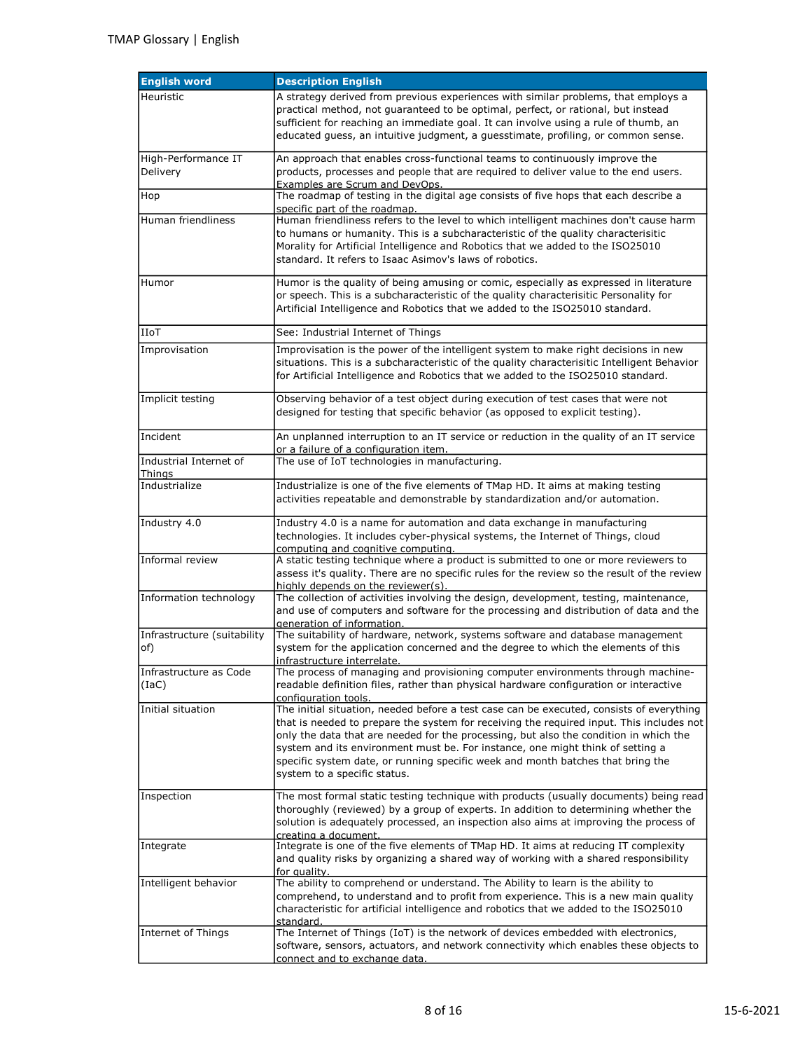| <b>English word</b>                | <b>Description English</b>                                                                                                                                                                                                                                                                                                                                                                                                                                                         |
|------------------------------------|------------------------------------------------------------------------------------------------------------------------------------------------------------------------------------------------------------------------------------------------------------------------------------------------------------------------------------------------------------------------------------------------------------------------------------------------------------------------------------|
| Heuristic                          | A strategy derived from previous experiences with similar problems, that employs a<br>practical method, not quaranteed to be optimal, perfect, or rational, but instead<br>sufficient for reaching an immediate goal. It can involve using a rule of thumb, an<br>educated guess, an intuitive judgment, a guesstimate, profiling, or common sense.                                                                                                                                |
| High-Performance IT<br>Delivery    | An approach that enables cross-functional teams to continuously improve the<br>products, processes and people that are required to deliver value to the end users.<br>Examples are Scrum and DevOps.                                                                                                                                                                                                                                                                               |
| Hop                                | The roadmap of testing in the digital age consists of five hops that each describe a                                                                                                                                                                                                                                                                                                                                                                                               |
| Human friendliness                 | specific part of the roadmap.<br>Human friendliness refers to the level to which intelligent machines don't cause harm<br>to humans or humanity. This is a subcharacteristic of the quality characterisitic<br>Morality for Artificial Intelligence and Robotics that we added to the ISO25010<br>standard. It refers to Isaac Asimov's laws of robotics.                                                                                                                          |
| Humor                              | Humor is the quality of being amusing or comic, especially as expressed in literature<br>or speech. This is a subcharacteristic of the quality characterisitic Personality for<br>Artificial Intelligence and Robotics that we added to the ISO25010 standard.                                                                                                                                                                                                                     |
| IIoT                               | See: Industrial Internet of Things                                                                                                                                                                                                                                                                                                                                                                                                                                                 |
| Improvisation                      | Improvisation is the power of the intelligent system to make right decisions in new<br>situations. This is a subcharacteristic of the quality characterisitic Intelligent Behavior<br>for Artificial Intelligence and Robotics that we added to the ISO25010 standard.                                                                                                                                                                                                             |
| Implicit testing                   | Observing behavior of a test object during execution of test cases that were not<br>designed for testing that specific behavior (as opposed to explicit testing).                                                                                                                                                                                                                                                                                                                  |
| Incident                           | An unplanned interruption to an IT service or reduction in the quality of an IT service<br>or a failure of a configuration item.                                                                                                                                                                                                                                                                                                                                                   |
| Industrial Internet of             | The use of IoT technologies in manufacturing.                                                                                                                                                                                                                                                                                                                                                                                                                                      |
| Things<br>Industrialize            | Industrialize is one of the five elements of TMap HD. It aims at making testing<br>activities repeatable and demonstrable by standardization and/or automation.                                                                                                                                                                                                                                                                                                                    |
| Industry 4.0                       | Industry 4.0 is a name for automation and data exchange in manufacturing<br>technologies. It includes cyber-physical systems, the Internet of Things, cloud<br>computing and cognitive computing.                                                                                                                                                                                                                                                                                  |
| Informal review                    | A static testing technique where a product is submitted to one or more reviewers to<br>assess it's quality. There are no specific rules for the review so the result of the review<br>highly depends on the reviewer(s).                                                                                                                                                                                                                                                           |
| Information technology             | The collection of activities involving the design, development, testing, maintenance,<br>and use of computers and software for the processing and distribution of data and the<br>generation of information.                                                                                                                                                                                                                                                                       |
| Infrastructure (suitability<br>of) | The suitability of hardware, network, systems software and database management<br>system for the application concerned and the degree to which the elements of this<br>infrastructure interrelate.                                                                                                                                                                                                                                                                                 |
| Infrastructure as Code<br>(IaC)    | The process of managing and provisioning computer environments through machine-<br>readable definition files, rather than physical hardware configuration or interactive<br>configuration tools.                                                                                                                                                                                                                                                                                   |
| Initial situation                  | The initial situation, needed before a test case can be executed, consists of everything<br>that is needed to prepare the system for receiving the required input. This includes not<br>only the data that are needed for the processing, but also the condition in which the<br>system and its environment must be. For instance, one might think of setting a<br>specific system date, or running specific week and month batches that bring the<br>system to a specific status. |
| Inspection                         | The most formal static testing technique with products (usually documents) being read<br>thoroughly (reviewed) by a group of experts. In addition to determining whether the<br>solution is adequately processed, an inspection also aims at improving the process of<br>creating a document.                                                                                                                                                                                      |
| Integrate                          | Integrate is one of the five elements of TMap HD. It aims at reducing IT complexity<br>and quality risks by organizing a shared way of working with a shared responsibility<br>for quality.                                                                                                                                                                                                                                                                                        |
| Intelligent behavior               | The ability to comprehend or understand. The Ability to learn is the ability to<br>comprehend, to understand and to profit from experience. This is a new main quality<br>characteristic for artificial intelligence and robotics that we added to the ISO25010<br>standard.                                                                                                                                                                                                       |
| Internet of Things                 | The Internet of Things (IoT) is the network of devices embedded with electronics,<br>software, sensors, actuators, and network connectivity which enables these objects to<br>connect and to exchange data.                                                                                                                                                                                                                                                                        |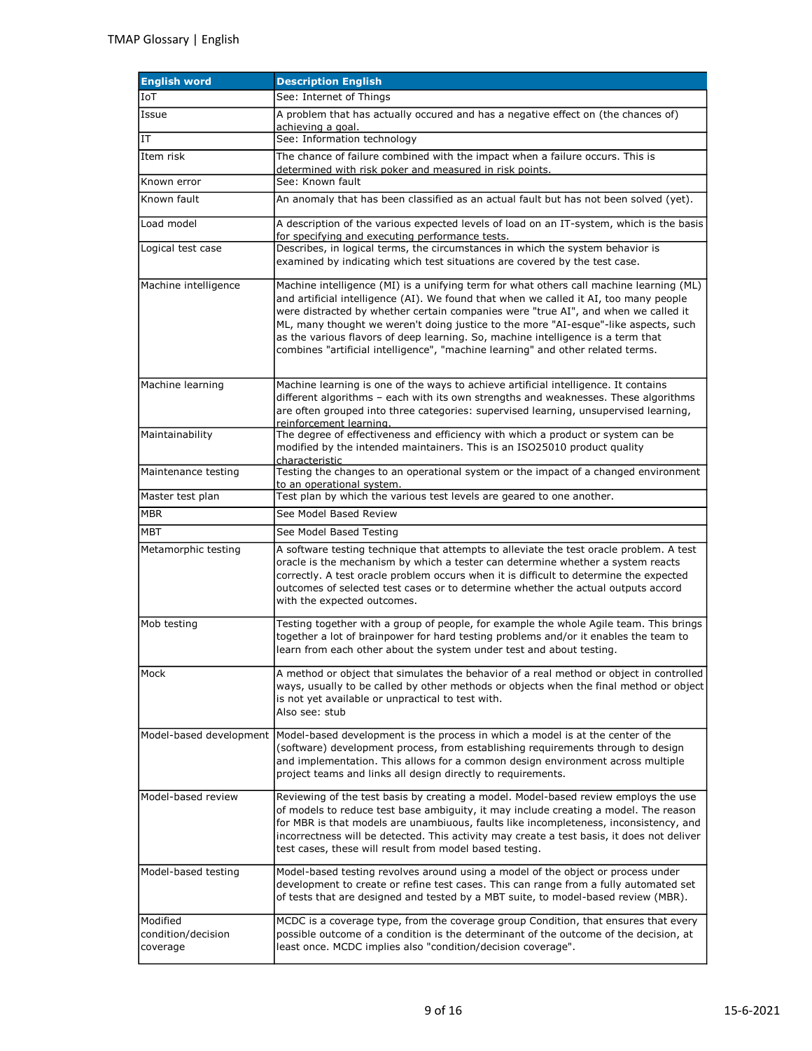| <b>English word</b>                        | <b>Description English</b>                                                                                                                                                                                                                                                                                                                                                                                                                                                                                                           |
|--------------------------------------------|--------------------------------------------------------------------------------------------------------------------------------------------------------------------------------------------------------------------------------------------------------------------------------------------------------------------------------------------------------------------------------------------------------------------------------------------------------------------------------------------------------------------------------------|
| <b>IoT</b>                                 | See: Internet of Things                                                                                                                                                                                                                                                                                                                                                                                                                                                                                                              |
| Issue                                      | A problem that has actually occured and has a negative effect on (the chances of)                                                                                                                                                                                                                                                                                                                                                                                                                                                    |
| IT                                         | achieving a goal.<br>See: Information technology                                                                                                                                                                                                                                                                                                                                                                                                                                                                                     |
| Item risk                                  | The chance of failure combined with the impact when a failure occurs. This is<br>determined with risk poker and measured in risk points.                                                                                                                                                                                                                                                                                                                                                                                             |
| Known error                                | See: Known fault                                                                                                                                                                                                                                                                                                                                                                                                                                                                                                                     |
| Known fault                                | An anomaly that has been classified as an actual fault but has not been solved (yet).                                                                                                                                                                                                                                                                                                                                                                                                                                                |
| Load model                                 | A description of the various expected levels of load on an IT-system, which is the basis<br>for specifying and executing performance tests.                                                                                                                                                                                                                                                                                                                                                                                          |
| Logical test case                          | Describes, in logical terms, the circumstances in which the system behavior is<br>examined by indicating which test situations are covered by the test case.                                                                                                                                                                                                                                                                                                                                                                         |
| Machine intelligence                       | Machine intelligence (MI) is a unifying term for what others call machine learning (ML)<br>and artificial intelligence (AI). We found that when we called it AI, too many people<br>were distracted by whether certain companies were "true AI", and when we called it<br>ML, many thought we weren't doing justice to the more "AI-esque"-like aspects, such<br>as the various flavors of deep learning. So, machine intelligence is a term that<br>combines "artificial intelligence", "machine learning" and other related terms. |
| Machine learning                           | Machine learning is one of the ways to achieve artificial intelligence. It contains<br>different algorithms - each with its own strengths and weaknesses. These algorithms<br>are often grouped into three categories: supervised learning, unsupervised learning,<br>reinforcement learning.                                                                                                                                                                                                                                        |
| Maintainability                            | The degree of effectiveness and efficiency with which a product or system can be<br>modified by the intended maintainers. This is an ISO25010 product quality<br>characteristic                                                                                                                                                                                                                                                                                                                                                      |
| Maintenance testing                        | Testing the changes to an operational system or the impact of a changed environment<br>to an operational system.                                                                                                                                                                                                                                                                                                                                                                                                                     |
| Master test plan                           | Test plan by which the various test levels are geared to one another.                                                                                                                                                                                                                                                                                                                                                                                                                                                                |
| <b>MBR</b>                                 | See Model Based Review                                                                                                                                                                                                                                                                                                                                                                                                                                                                                                               |
| MBT                                        | See Model Based Testing                                                                                                                                                                                                                                                                                                                                                                                                                                                                                                              |
| Metamorphic testing                        | A software testing technique that attempts to alleviate the test oracle problem. A test<br>oracle is the mechanism by which a tester can determine whether a system reacts<br>correctly. A test oracle problem occurs when it is difficult to determine the expected<br>outcomes of selected test cases or to determine whether the actual outputs accord<br>with the expected outcomes.                                                                                                                                             |
| Mob testing                                | Testing together with a group of people, for example the whole Agile team. This brings<br>together a lot of brainpower for hard testing problems and/or it enables the team to<br>learn from each other about the system under test and about testing.                                                                                                                                                                                                                                                                               |
| Mock                                       | A method or object that simulates the behavior of a real method or object in controlled<br>ways, usually to be called by other methods or objects when the final method or object<br>is not yet available or unpractical to test with.<br>Also see: stub                                                                                                                                                                                                                                                                             |
|                                            | Model-based development Model-based development is the process in which a model is at the center of the<br>(software) development process, from establishing requirements through to design<br>and implementation. This allows for a common design environment across multiple<br>project teams and links all design directly to requirements.                                                                                                                                                                                       |
| Model-based review                         | Reviewing of the test basis by creating a model. Model-based review employs the use<br>of models to reduce test base ambiguity, it may include creating a model. The reason<br>for MBR is that models are unambiuous, faults like incompleteness, inconsistency, and<br>incorrectness will be detected. This activity may create a test basis, it does not deliver<br>test cases, these will result from model based testing.                                                                                                        |
| Model-based testing                        | Model-based testing revolves around using a model of the object or process under<br>development to create or refine test cases. This can range from a fully automated set<br>of tests that are designed and tested by a MBT suite, to model-based review (MBR).                                                                                                                                                                                                                                                                      |
| Modified<br>condition/decision<br>coverage | MCDC is a coverage type, from the coverage group Condition, that ensures that every<br>possible outcome of a condition is the determinant of the outcome of the decision, at<br>least once. MCDC implies also "condition/decision coverage".                                                                                                                                                                                                                                                                                         |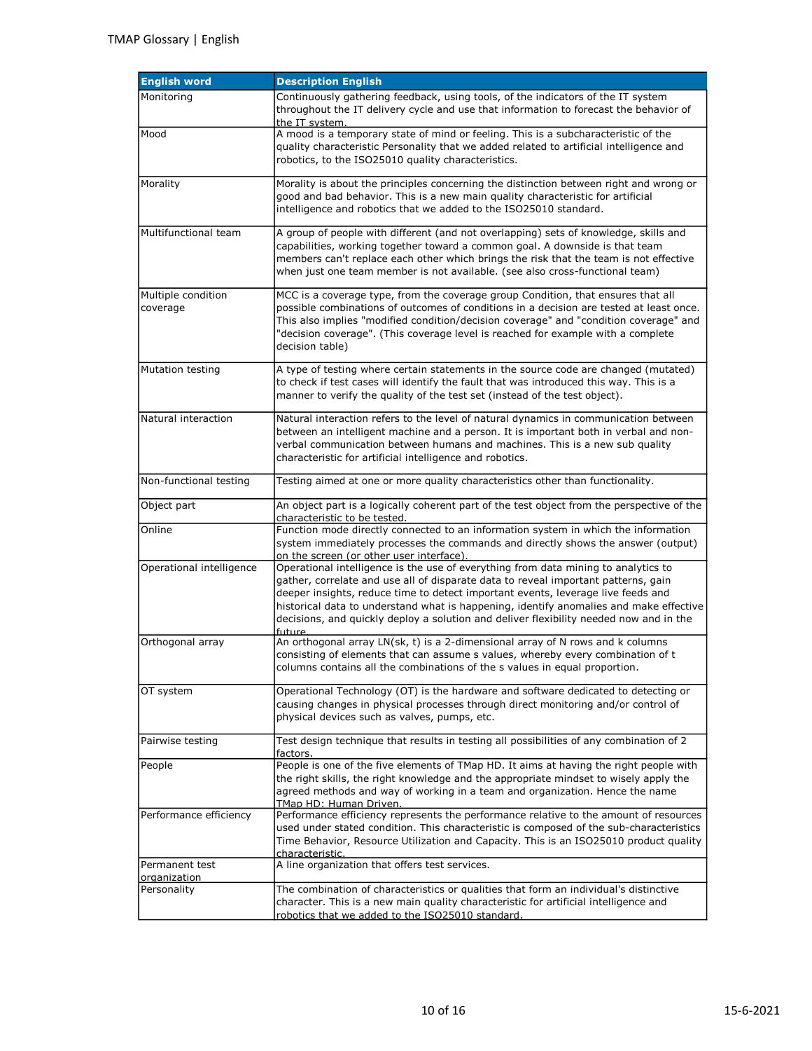| <b>English word</b>            | <b>Description English</b>                                                                                                                                                                                                                                                                                                                                                                                                                                 |
|--------------------------------|------------------------------------------------------------------------------------------------------------------------------------------------------------------------------------------------------------------------------------------------------------------------------------------------------------------------------------------------------------------------------------------------------------------------------------------------------------|
| Monitoring                     | Continuously gathering feedback, using tools, of the indicators of the IT system<br>throughout the IT delivery cycle and use that information to forecast the behavior of<br>the IT system.                                                                                                                                                                                                                                                                |
| Mood                           | A mood is a temporary state of mind or feeling. This is a subcharacteristic of the<br>quality characteristic Personality that we added related to artificial intelligence and<br>robotics, to the ISO25010 quality characteristics.                                                                                                                                                                                                                        |
| Morality                       | Morality is about the principles concerning the distinction between right and wrong or<br>good and bad behavior. This is a new main quality characteristic for artificial<br>intelligence and robotics that we added to the ISO25010 standard.                                                                                                                                                                                                             |
| Multifunctional team           | A group of people with different (and not overlapping) sets of knowledge, skills and<br>capabilities, working together toward a common goal. A downside is that team<br>members can't replace each other which brings the risk that the team is not effective<br>when just one team member is not available. (see also cross-functional team)                                                                                                              |
| Multiple condition<br>coverage | MCC is a coverage type, from the coverage group Condition, that ensures that all<br>possible combinations of outcomes of conditions in a decision are tested at least once.<br>This also implies "modified condition/decision coverage" and "condition coverage" and<br>"decision coverage". (This coverage level is reached for example with a complete<br>decision table)                                                                                |
| <b>Mutation testing</b>        | A type of testing where certain statements in the source code are changed (mutated)<br>to check if test cases will identify the fault that was introduced this way. This is a<br>manner to verify the quality of the test set (instead of the test object).                                                                                                                                                                                                |
| Natural interaction            | Natural interaction refers to the level of natural dynamics in communication between<br>between an intelligent machine and a person. It is important both in verbal and non-<br>verbal communication between humans and machines. This is a new sub quality<br>characteristic for artificial intelligence and robotics.                                                                                                                                    |
| Non-functional testing         | Testing aimed at one or more quality characteristics other than functionality.                                                                                                                                                                                                                                                                                                                                                                             |
| Object part                    | An object part is a logically coherent part of the test object from the perspective of the<br>characteristic to be tested.                                                                                                                                                                                                                                                                                                                                 |
| Online                         | Function mode directly connected to an information system in which the information<br>system immediately processes the commands and directly shows the answer (output)<br>on the screen (or other user interface).                                                                                                                                                                                                                                         |
| Operational intelligence       | Operational intelligence is the use of everything from data mining to analytics to<br>gather, correlate and use all of disparate data to reveal important patterns, gain<br>deeper insights, reduce time to detect important events, leverage live feeds and<br>historical data to understand what is happening, identify anomalies and make effective<br>decisions, and quickly deploy a solution and deliver flexibility needed now and in the<br>future |
| Orthogonal array               | An orthogonal array LN(sk, t) is a 2-dimensional array of N rows and k columns<br>consisting of elements that can assume s values, whereby every combination of t<br>columns contains all the combinations of the s values in equal proportion.                                                                                                                                                                                                            |
| OT system                      | Operational Technology (OT) is the hardware and software dedicated to detecting or<br>causing changes in physical processes through direct monitoring and/or control of<br>physical devices such as valves, pumps, etc.                                                                                                                                                                                                                                    |
| Pairwise testing               | Test design technique that results in testing all possibilities of any combination of 2<br>factors.                                                                                                                                                                                                                                                                                                                                                        |
| People                         | People is one of the five elements of TMap HD. It aims at having the right people with<br>the right skills, the right knowledge and the appropriate mindset to wisely apply the<br>agreed methods and way of working in a team and organization. Hence the name<br>TMap HD: Human Driven.                                                                                                                                                                  |
| Performance efficiency         | Performance efficiency represents the performance relative to the amount of resources<br>used under stated condition. This characteristic is composed of the sub-characteristics<br>Time Behavior, Resource Utilization and Capacity. This is an ISO25010 product quality<br>characteristic.                                                                                                                                                               |
| Permanent test                 | A line organization that offers test services.                                                                                                                                                                                                                                                                                                                                                                                                             |
| organization<br>Personality    | The combination of characteristics or qualities that form an individual's distinctive<br>character. This is a new main quality characteristic for artificial intelligence and<br>robotics that we added to the ISO25010 standard.                                                                                                                                                                                                                          |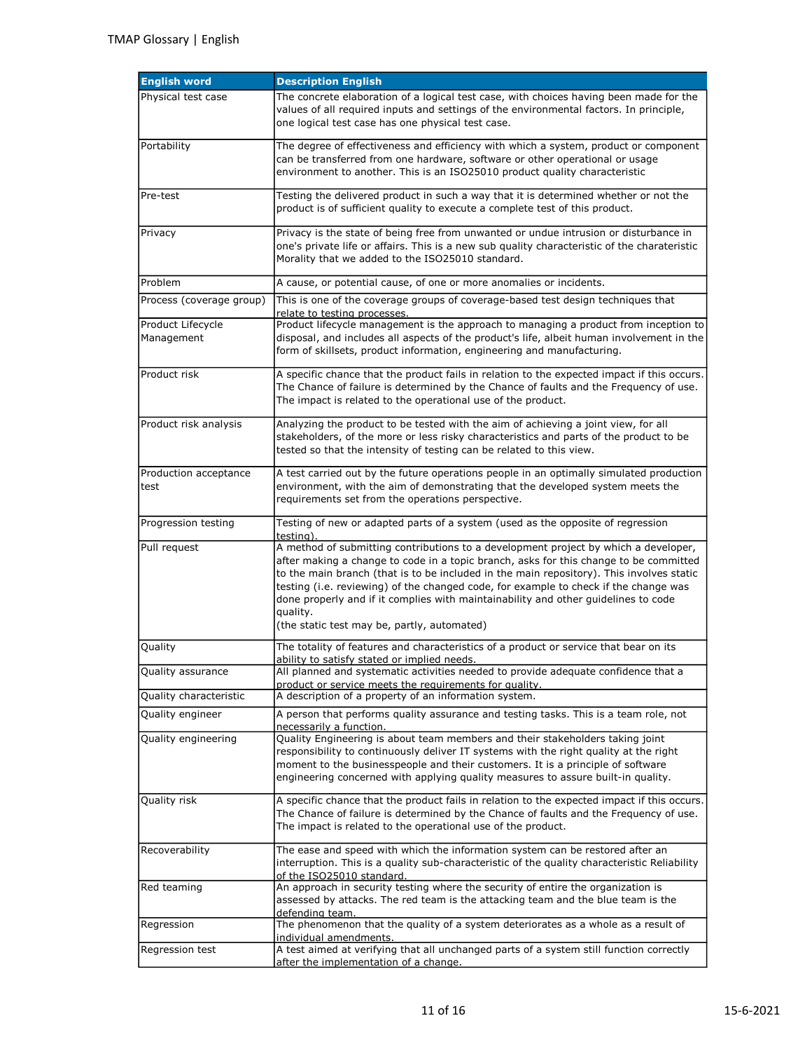| <b>English word</b>             | <b>Description English</b>                                                                                                                                                                                                                                                                                                                                                                                                                                                                                        |
|---------------------------------|-------------------------------------------------------------------------------------------------------------------------------------------------------------------------------------------------------------------------------------------------------------------------------------------------------------------------------------------------------------------------------------------------------------------------------------------------------------------------------------------------------------------|
| Physical test case              | The concrete elaboration of a logical test case, with choices having been made for the<br>values of all required inputs and settings of the environmental factors. In principle,<br>one logical test case has one physical test case.                                                                                                                                                                                                                                                                             |
| Portability                     | The degree of effectiveness and efficiency with which a system, product or component<br>can be transferred from one hardware, software or other operational or usage<br>environment to another. This is an ISO25010 product quality characteristic                                                                                                                                                                                                                                                                |
| Pre-test                        | Testing the delivered product in such a way that it is determined whether or not the<br>product is of sufficient quality to execute a complete test of this product.                                                                                                                                                                                                                                                                                                                                              |
| Privacy                         | Privacy is the state of being free from unwanted or undue intrusion or disturbance in<br>one's private life or affairs. This is a new sub quality characteristic of the charateristic<br>Morality that we added to the ISO25010 standard.                                                                                                                                                                                                                                                                         |
| Problem                         | A cause, or potential cause, of one or more anomalies or incidents.                                                                                                                                                                                                                                                                                                                                                                                                                                               |
| Process (coverage group)        | This is one of the coverage groups of coverage-based test design techniques that<br>relate to testing processes.                                                                                                                                                                                                                                                                                                                                                                                                  |
| Product Lifecycle<br>Management | Product lifecycle management is the approach to managing a product from inception to<br>disposal, and includes all aspects of the product's life, albeit human involvement in the<br>form of skillsets, product information, engineering and manufacturing.                                                                                                                                                                                                                                                       |
| Product risk                    | A specific chance that the product fails in relation to the expected impact if this occurs.<br>The Chance of failure is determined by the Chance of faults and the Frequency of use.<br>The impact is related to the operational use of the product.                                                                                                                                                                                                                                                              |
| Product risk analysis           | Analyzing the product to be tested with the aim of achieving a joint view, for all<br>stakeholders, of the more or less risky characteristics and parts of the product to be<br>tested so that the intensity of testing can be related to this view.                                                                                                                                                                                                                                                              |
| Production acceptance<br>test   | A test carried out by the future operations people in an optimally simulated production<br>environment, with the aim of demonstrating that the developed system meets the<br>requirements set from the operations perspective.                                                                                                                                                                                                                                                                                    |
| Progression testing             | Testing of new or adapted parts of a system (used as the opposite of regression<br>testing).                                                                                                                                                                                                                                                                                                                                                                                                                      |
| Pull request                    | A method of submitting contributions to a development project by which a developer,<br>after making a change to code in a topic branch, asks for this change to be committed<br>to the main branch (that is to be included in the main repository). This involves static<br>testing (i.e. reviewing) of the changed code, for example to check if the change was<br>done properly and if it complies with maintainability and other guidelines to code<br>quality.<br>(the static test may be, partly, automated) |
| Quality                         | The totality of features and characteristics of a product or service that bear on its<br>ability to satisfy stated or implied needs.                                                                                                                                                                                                                                                                                                                                                                              |
| Quality assurance               | All planned and systematic activities needed to provide adequate confidence that a<br>product or service meets the requirements for quality.                                                                                                                                                                                                                                                                                                                                                                      |
| Quality characteristic          | A description of a property of an information system.                                                                                                                                                                                                                                                                                                                                                                                                                                                             |
| Quality engineer                | A person that performs quality assurance and testing tasks. This is a team role, not<br>necessarily a function.                                                                                                                                                                                                                                                                                                                                                                                                   |
| Quality engineering             | Quality Engineering is about team members and their stakeholders taking joint<br>responsibility to continuously deliver IT systems with the right quality at the right<br>moment to the businesspeople and their customers. It is a principle of software<br>engineering concerned with applying quality measures to assure built-in quality.                                                                                                                                                                     |
| Quality risk                    | A specific chance that the product fails in relation to the expected impact if this occurs.<br>The Chance of failure is determined by the Chance of faults and the Frequency of use.<br>The impact is related to the operational use of the product.                                                                                                                                                                                                                                                              |
| Recoverability                  | The ease and speed with which the information system can be restored after an<br>interruption. This is a quality sub-characteristic of the quality characteristic Reliability<br>of the ISO25010 standard.                                                                                                                                                                                                                                                                                                        |
| Red teaming                     | An approach in security testing where the security of entire the organization is<br>assessed by attacks. The red team is the attacking team and the blue team is the<br>defending team.                                                                                                                                                                                                                                                                                                                           |
| Regression                      | The phenomenon that the quality of a system deteriorates as a whole as a result of<br>individual amendments.                                                                                                                                                                                                                                                                                                                                                                                                      |
| Regression test                 | A test aimed at verifying that all unchanged parts of a system still function correctly<br>after the implementation of a change.                                                                                                                                                                                                                                                                                                                                                                                  |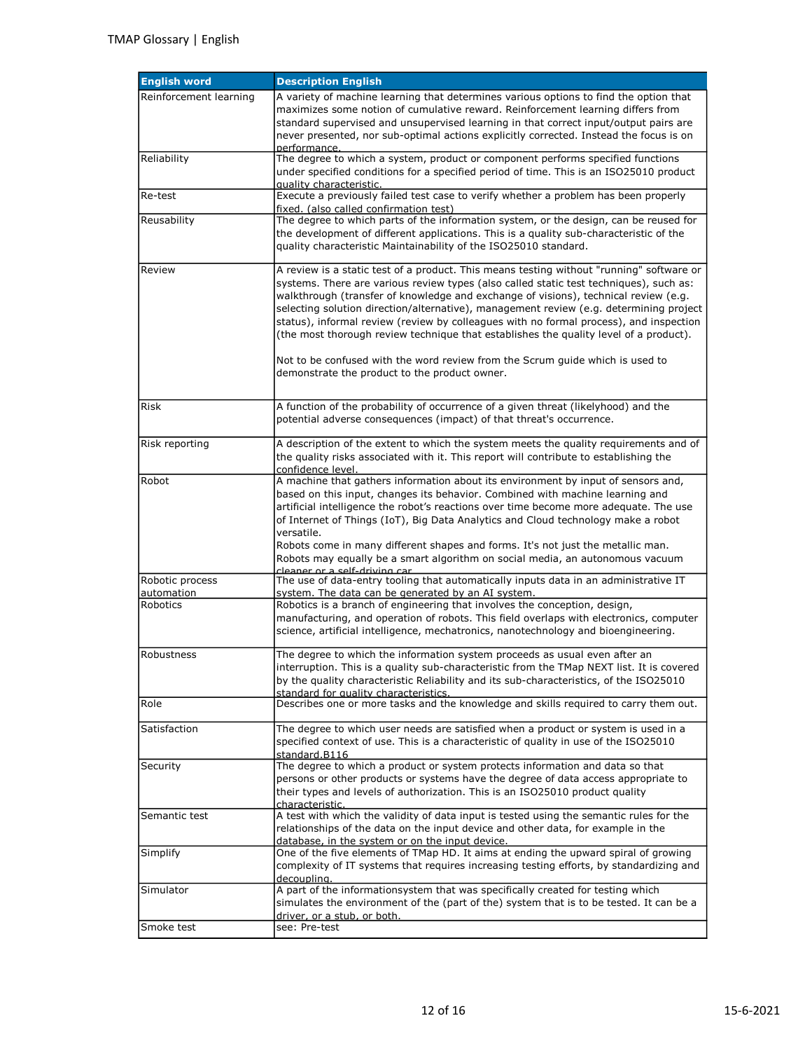| <b>English word</b>    | <b>Description English</b>                                                                                                                                                                                                                                                                                                                                                                                                                                                                                                                                                                                                                                                               |
|------------------------|------------------------------------------------------------------------------------------------------------------------------------------------------------------------------------------------------------------------------------------------------------------------------------------------------------------------------------------------------------------------------------------------------------------------------------------------------------------------------------------------------------------------------------------------------------------------------------------------------------------------------------------------------------------------------------------|
| Reinforcement learning | A variety of machine learning that determines various options to find the option that<br>maximizes some notion of cumulative reward. Reinforcement learning differs from<br>standard supervised and unsupervised learning in that correct input/output pairs are<br>never presented, nor sub-optimal actions explicitly corrected. Instead the focus is on<br>nerformance.                                                                                                                                                                                                                                                                                                               |
| Reliability            | The degree to which a system, product or component performs specified functions<br>under specified conditions for a specified period of time. This is an ISO25010 product<br>quality characteristic.                                                                                                                                                                                                                                                                                                                                                                                                                                                                                     |
| Re-test                | Execute a previously failed test case to verify whether a problem has been properly<br>fixed. (also called confirmation test)                                                                                                                                                                                                                                                                                                                                                                                                                                                                                                                                                            |
| Reusability            | The degree to which parts of the information system, or the design, can be reused for<br>the development of different applications. This is a quality sub-characteristic of the<br>quality characteristic Maintainability of the ISO25010 standard.                                                                                                                                                                                                                                                                                                                                                                                                                                      |
| Review                 | A review is a static test of a product. This means testing without "running" software or<br>systems. There are various review types (also called static test techniques), such as:<br>walkthrough (transfer of knowledge and exchange of visions), technical review (e.g.<br>selecting solution direction/alternative), management review (e.g. determining project<br>status), informal review (review by colleagues with no formal process), and inspection<br>(the most thorough review technique that establishes the quality level of a product).<br>Not to be confused with the word review from the Scrum guide which is used to<br>demonstrate the product to the product owner. |
| Risk                   | A function of the probability of occurrence of a given threat (likelyhood) and the<br>potential adverse consequences (impact) of that threat's occurrence.                                                                                                                                                                                                                                                                                                                                                                                                                                                                                                                               |
| Risk reporting         | A description of the extent to which the system meets the quality requirements and of<br>the quality risks associated with it. This report will contribute to establishing the<br>confidence level.                                                                                                                                                                                                                                                                                                                                                                                                                                                                                      |
| Robot                  | A machine that gathers information about its environment by input of sensors and,<br>based on this input, changes its behavior. Combined with machine learning and<br>artificial intelligence the robot's reactions over time become more adequate. The use<br>of Internet of Things (IoT), Big Data Analytics and Cloud technology make a robot<br>versatile.<br>Robots come in many different shapes and forms. It's not just the metallic man.<br>Robots may equally be a smart algorithm on social media, an autonomous vacuum                                                                                                                                                       |
| Robotic process        | cleaner or a self-driving car<br>The use of data-entry tooling that automatically inputs data in an administrative IT                                                                                                                                                                                                                                                                                                                                                                                                                                                                                                                                                                    |
| automation             | system. The data can be generated by an AI system.                                                                                                                                                                                                                                                                                                                                                                                                                                                                                                                                                                                                                                       |
| Robotics               | Robotics is a branch of engineering that involves the conception, design,<br>manufacturing, and operation of robots. This field overlaps with electronics, computer<br>science, artificial intelligence, mechatronics, nanotechnology and bioengineering.                                                                                                                                                                                                                                                                                                                                                                                                                                |
| Robustness             | The degree to which the information system proceeds as usual even after an<br>interruption. This is a quality sub-characteristic from the TMap NEXT list. It is covered<br>by the quality characteristic Reliability and its sub-characteristics, of the ISO25010<br>standard for quality characteristics.                                                                                                                                                                                                                                                                                                                                                                               |
| Role                   | Describes one or more tasks and the knowledge and skills required to carry them out.                                                                                                                                                                                                                                                                                                                                                                                                                                                                                                                                                                                                     |
| Satisfaction           | The degree to which user needs are satisfied when a product or system is used in a<br>specified context of use. This is a characteristic of quality in use of the ISO25010<br>standard.B116                                                                                                                                                                                                                                                                                                                                                                                                                                                                                              |
| Security               | The degree to which a product or system protects information and data so that<br>persons or other products or systems have the degree of data access appropriate to<br>their types and levels of authorization. This is an ISO25010 product quality<br>characteristic.                                                                                                                                                                                                                                                                                                                                                                                                                   |
| Semantic test          | A test with which the validity of data input is tested using the semantic rules for the<br>relationships of the data on the input device and other data, for example in the<br>database, in the system or on the input device.                                                                                                                                                                                                                                                                                                                                                                                                                                                           |
| Simplify               | One of the five elements of TMap HD. It aims at ending the upward spiral of growing<br>complexity of IT systems that requires increasing testing efforts, by standardizing and<br>decoupling.                                                                                                                                                                                                                                                                                                                                                                                                                                                                                            |
| Simulator              | A part of the informationsystem that was specifically created for testing which<br>simulates the environment of the (part of the) system that is to be tested. It can be a<br>driver, or a stub, or both.                                                                                                                                                                                                                                                                                                                                                                                                                                                                                |
| Smoke test             | see: Pre-test                                                                                                                                                                                                                                                                                                                                                                                                                                                                                                                                                                                                                                                                            |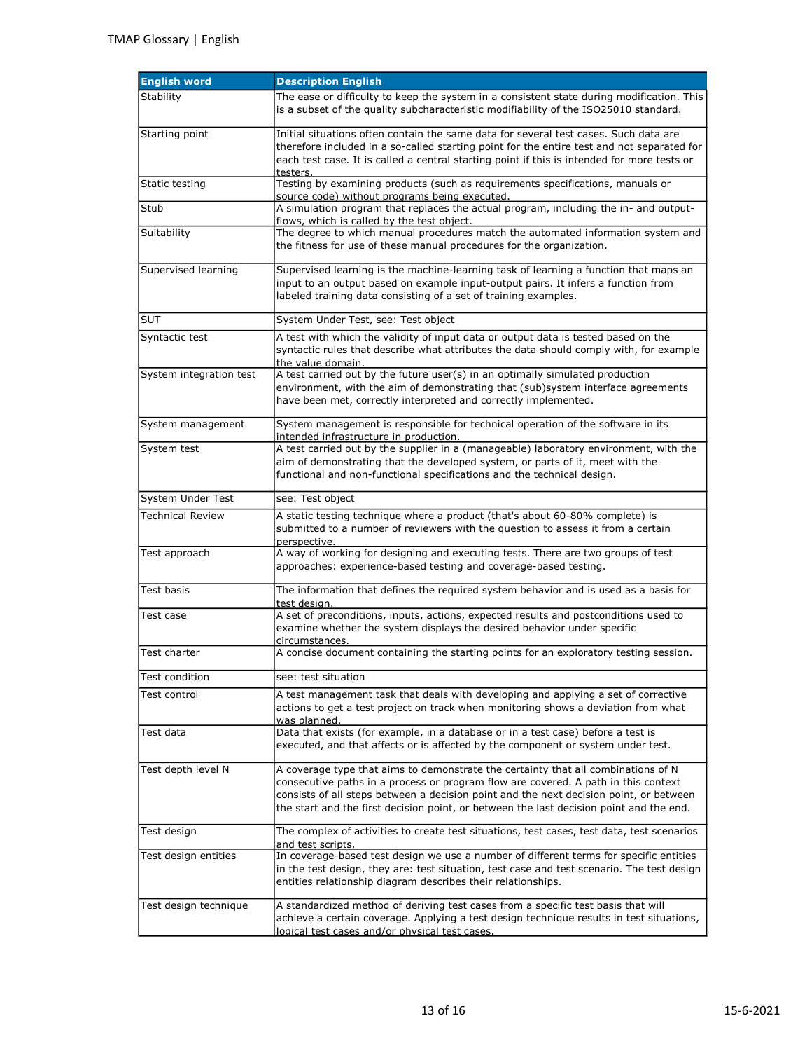| <b>English word</b>     | <b>Description English</b>                                                                                                                                                                                                                                                                                                                                   |
|-------------------------|--------------------------------------------------------------------------------------------------------------------------------------------------------------------------------------------------------------------------------------------------------------------------------------------------------------------------------------------------------------|
| Stability               | The ease or difficulty to keep the system in a consistent state during modification. This<br>is a subset of the quality subcharacteristic modifiability of the ISO25010 standard.                                                                                                                                                                            |
| Starting point          | Initial situations often contain the same data for several test cases. Such data are<br>therefore included in a so-called starting point for the entire test and not separated for<br>each test case. It is called a central starting point if this is intended for more tests or<br>testers.                                                                |
| Static testing          | Testing by examining products (such as requirements specifications, manuals or<br>source code) without programs being executed.                                                                                                                                                                                                                              |
| Stub                    | A simulation program that replaces the actual program, including the in- and output-<br>flows, which is called by the test object.                                                                                                                                                                                                                           |
| Suitability             | The degree to which manual procedures match the automated information system and<br>the fitness for use of these manual procedures for the organization.                                                                                                                                                                                                     |
| Supervised learning     | Supervised learning is the machine-learning task of learning a function that maps an<br>input to an output based on example input-output pairs. It infers a function from<br>labeled training data consisting of a set of training examples.                                                                                                                 |
| <b>SUT</b>              | System Under Test, see: Test object                                                                                                                                                                                                                                                                                                                          |
| Syntactic test          | A test with which the validity of input data or output data is tested based on the<br>syntactic rules that describe what attributes the data should comply with, for example<br>the value domain.                                                                                                                                                            |
| System integration test | A test carried out by the future user(s) in an optimally simulated production<br>environment, with the aim of demonstrating that (sub)system interface agreements<br>have been met, correctly interpreted and correctly implemented.                                                                                                                         |
| System management       | System management is responsible for technical operation of the software in its<br>intended infrastructure in production.                                                                                                                                                                                                                                    |
| System test             | A test carried out by the supplier in a (manageable) laboratory environment, with the<br>aim of demonstrating that the developed system, or parts of it, meet with the<br>functional and non-functional specifications and the technical design.                                                                                                             |
| System Under Test       | see: Test object                                                                                                                                                                                                                                                                                                                                             |
| <b>Technical Review</b> | A static testing technique where a product (that's about 60-80% complete) is<br>submitted to a number of reviewers with the question to assess it from a certain<br>perspective.                                                                                                                                                                             |
| Test approach           | A way of working for designing and executing tests. There are two groups of test<br>approaches: experience-based testing and coverage-based testing.                                                                                                                                                                                                         |
| Test basis              | The information that defines the required system behavior and is used as a basis for<br>test desian.                                                                                                                                                                                                                                                         |
| Test case               | A set of preconditions, inputs, actions, expected results and postconditions used to<br>examine whether the system displays the desired behavior under specific<br>circumstances.                                                                                                                                                                            |
| Test charter            | A concise document containing the starting points for an exploratory testing session.                                                                                                                                                                                                                                                                        |
| Test condition          | see: test situation                                                                                                                                                                                                                                                                                                                                          |
| Test control            | A test management task that deals with developing and applying a set of corrective<br>actions to get a test project on track when monitoring shows a deviation from what<br>was planned.                                                                                                                                                                     |
| Test data               | Data that exists (for example, in a database or in a test case) before a test is<br>executed, and that affects or is affected by the component or system under test.                                                                                                                                                                                         |
| Test depth level N      | A coverage type that aims to demonstrate the certainty that all combinations of N<br>consecutive paths in a process or program flow are covered. A path in this context<br>consists of all steps between a decision point and the next decision point, or between<br>the start and the first decision point, or between the last decision point and the end. |
| Test design             | The complex of activities to create test situations, test cases, test data, test scenarios<br>and test scripts.                                                                                                                                                                                                                                              |
| Test design entities    | In coverage-based test design we use a number of different terms for specific entities<br>in the test design, they are: test situation, test case and test scenario. The test design<br>entities relationship diagram describes their relationships.                                                                                                         |
| Test design technique   | A standardized method of deriving test cases from a specific test basis that will<br>achieve a certain coverage. Applying a test design technique results in test situations,<br>logical test cases and/or physical test cases.                                                                                                                              |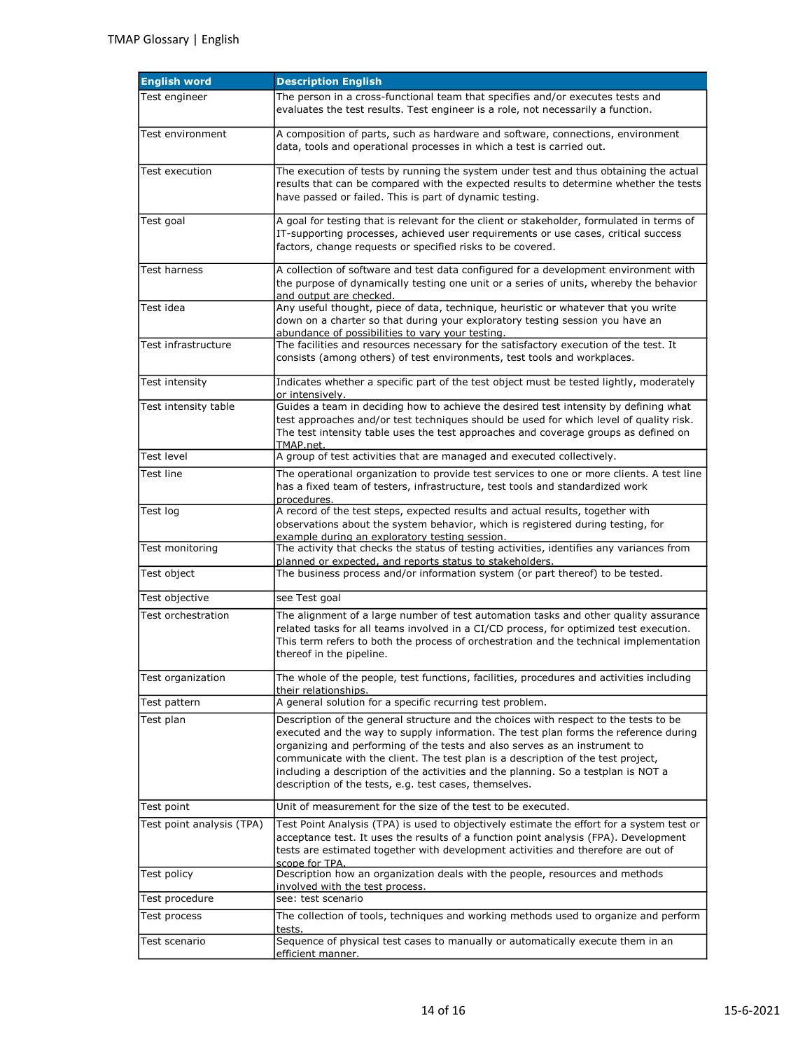| <b>English word</b>       | <b>Description English</b>                                                                                                                                                                                                                                                                                                                                                                                                                                                                     |
|---------------------------|------------------------------------------------------------------------------------------------------------------------------------------------------------------------------------------------------------------------------------------------------------------------------------------------------------------------------------------------------------------------------------------------------------------------------------------------------------------------------------------------|
| Test engineer             | The person in a cross-functional team that specifies and/or executes tests and<br>evaluates the test results. Test engineer is a role, not necessarily a function.                                                                                                                                                                                                                                                                                                                             |
| Test environment          | A composition of parts, such as hardware and software, connections, environment<br>data, tools and operational processes in which a test is carried out.                                                                                                                                                                                                                                                                                                                                       |
| Test execution            | The execution of tests by running the system under test and thus obtaining the actual<br>results that can be compared with the expected results to determine whether the tests<br>have passed or failed. This is part of dynamic testing.                                                                                                                                                                                                                                                      |
| Test goal                 | A goal for testing that is relevant for the client or stakeholder, formulated in terms of<br>IT-supporting processes, achieved user requirements or use cases, critical success<br>factors, change requests or specified risks to be covered.                                                                                                                                                                                                                                                  |
| <b>Test harness</b>       | A collection of software and test data configured for a development environment with<br>the purpose of dynamically testing one unit or a series of units, whereby the behavior<br>and output are checked.                                                                                                                                                                                                                                                                                      |
| Test idea                 | Any useful thought, piece of data, technique, heuristic or whatever that you write<br>down on a charter so that during your exploratory testing session you have an<br>abundance of possibilities to vary your testing.                                                                                                                                                                                                                                                                        |
| Test infrastructure       | The facilities and resources necessary for the satisfactory execution of the test. It<br>consists (among others) of test environments, test tools and workplaces.                                                                                                                                                                                                                                                                                                                              |
| Test intensity            | Indicates whether a specific part of the test object must be tested lightly, moderately<br>or intensively.                                                                                                                                                                                                                                                                                                                                                                                     |
| Test intensity table      | Guides a team in deciding how to achieve the desired test intensity by defining what<br>test approaches and/or test techniques should be used for which level of quality risk.<br>The test intensity table uses the test approaches and coverage groups as defined on<br>TMAP.net.                                                                                                                                                                                                             |
| <b>Test level</b>         | A group of test activities that are managed and executed collectively.                                                                                                                                                                                                                                                                                                                                                                                                                         |
| Test line                 | The operational organization to provide test services to one or more clients. A test line<br>has a fixed team of testers, infrastructure, test tools and standardized work<br>procedures.                                                                                                                                                                                                                                                                                                      |
| Test log                  | A record of the test steps, expected results and actual results, together with<br>observations about the system behavior, which is registered during testing, for<br>example during an exploratory testing session.                                                                                                                                                                                                                                                                            |
| Test monitoring           | The activity that checks the status of testing activities, identifies any variances from<br>planned or expected, and reports status to stakeholders.                                                                                                                                                                                                                                                                                                                                           |
| Test object               | The business process and/or information system (or part thereof) to be tested.                                                                                                                                                                                                                                                                                                                                                                                                                 |
| Test objective            | see Test goal                                                                                                                                                                                                                                                                                                                                                                                                                                                                                  |
| Test orchestration        | The alignment of a large number of test automation tasks and other quality assurance<br>related tasks for all teams involved in a CI/CD process, for optimized test execution.<br>This term refers to both the process of orchestration and the technical implementation<br>thereof in the pipeline.                                                                                                                                                                                           |
| Test organization         | The whole of the people, test functions, facilities, procedures and activities including<br>their relationships.                                                                                                                                                                                                                                                                                                                                                                               |
| Test pattern              | A general solution for a specific recurring test problem.                                                                                                                                                                                                                                                                                                                                                                                                                                      |
| Test plan                 | Description of the general structure and the choices with respect to the tests to be<br>executed and the way to supply information. The test plan forms the reference during<br>organizing and performing of the tests and also serves as an instrument to<br>communicate with the client. The test plan is a description of the test project,<br>including a description of the activities and the planning. So a testplan is NOT a<br>description of the tests, e.g. test cases, themselves. |
| Test point                | Unit of measurement for the size of the test to be executed.                                                                                                                                                                                                                                                                                                                                                                                                                                   |
| Test point analysis (TPA) | Test Point Analysis (TPA) is used to objectively estimate the effort for a system test or<br>acceptance test. It uses the results of a function point analysis (FPA). Development<br>tests are estimated together with development activities and therefore are out of<br>scope for TPA.                                                                                                                                                                                                       |
| Test policy               | Description how an organization deals with the people, resources and methods<br>involved with the test process.                                                                                                                                                                                                                                                                                                                                                                                |
| Test procedure            | see: test scenario                                                                                                                                                                                                                                                                                                                                                                                                                                                                             |
| Test process              | The collection of tools, techniques and working methods used to organize and perform<br>tests.                                                                                                                                                                                                                                                                                                                                                                                                 |
| Test scenario             | Sequence of physical test cases to manually or automatically execute them in an<br>efficient manner.                                                                                                                                                                                                                                                                                                                                                                                           |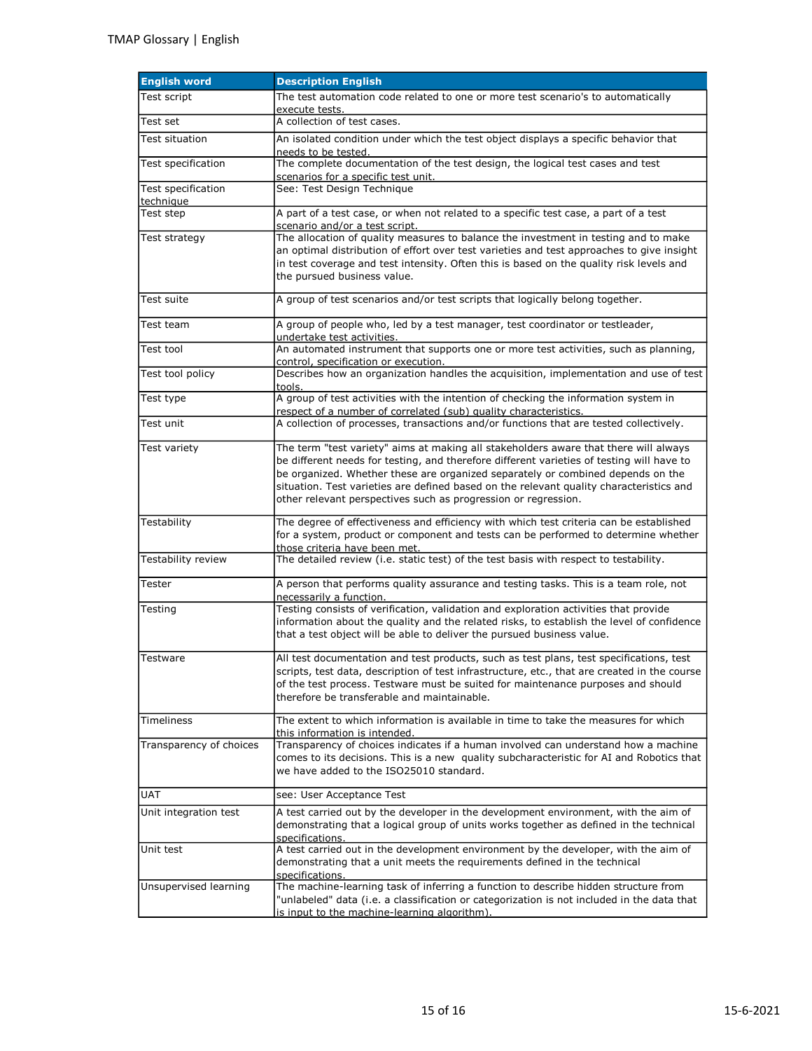| <b>English word</b>     | <b>Description English</b>                                                                                                                                                                                                                                                                                                                                                                                                        |
|-------------------------|-----------------------------------------------------------------------------------------------------------------------------------------------------------------------------------------------------------------------------------------------------------------------------------------------------------------------------------------------------------------------------------------------------------------------------------|
| Test script             | The test automation code related to one or more test scenario's to automatically                                                                                                                                                                                                                                                                                                                                                  |
| Test set                | execute tests.<br>A collection of test cases.                                                                                                                                                                                                                                                                                                                                                                                     |
| Test situation          | An isolated condition under which the test object displays a specific behavior that                                                                                                                                                                                                                                                                                                                                               |
|                         | needs to be tested.                                                                                                                                                                                                                                                                                                                                                                                                               |
| Test specification      | The complete documentation of the test design, the logical test cases and test<br>scenarios for a specific test unit.                                                                                                                                                                                                                                                                                                             |
| Test specification      | See: Test Design Technique                                                                                                                                                                                                                                                                                                                                                                                                        |
| technique<br>Test step  | A part of a test case, or when not related to a specific test case, a part of a test                                                                                                                                                                                                                                                                                                                                              |
|                         | scenario and/or a test script.                                                                                                                                                                                                                                                                                                                                                                                                    |
| Test strategy           | The allocation of quality measures to balance the investment in testing and to make<br>an optimal distribution of effort over test varieties and test approaches to give insight<br>in test coverage and test intensity. Often this is based on the quality risk levels and<br>the pursued business value.                                                                                                                        |
| Test suite              | A group of test scenarios and/or test scripts that logically belong together.                                                                                                                                                                                                                                                                                                                                                     |
| Test team               | A group of people who, led by a test manager, test coordinator or testleader,<br>undertake test activities.                                                                                                                                                                                                                                                                                                                       |
| Test tool               | An automated instrument that supports one or more test activities, such as planning,<br>control, specification or execution.                                                                                                                                                                                                                                                                                                      |
| Test tool policy        | Describes how an organization handles the acquisition, implementation and use of test<br>tools.                                                                                                                                                                                                                                                                                                                                   |
| Test type               | A group of test activities with the intention of checking the information system in<br>respect of a number of correlated (sub) quality characteristics.                                                                                                                                                                                                                                                                           |
| Test unit               | A collection of processes, transactions and/or functions that are tested collectively.                                                                                                                                                                                                                                                                                                                                            |
| Test variety            | The term "test variety" aims at making all stakeholders aware that there will always<br>be different needs for testing, and therefore different varieties of testing will have to<br>be organized. Whether these are organized separately or combined depends on the<br>situation. Test varieties are defined based on the relevant quality characteristics and<br>other relevant perspectives such as progression or regression. |
| Testability             | The degree of effectiveness and efficiency with which test criteria can be established<br>for a system, product or component and tests can be performed to determine whether<br>those criteria have been met.                                                                                                                                                                                                                     |
| Testability review      | The detailed review (i.e. static test) of the test basis with respect to testability.                                                                                                                                                                                                                                                                                                                                             |
| Tester                  | A person that performs quality assurance and testing tasks. This is a team role, not<br>necessarily a function.                                                                                                                                                                                                                                                                                                                   |
| Testing                 | Testing consists of verification, validation and exploration activities that provide<br>information about the quality and the related risks, to establish the level of confidence<br>that a test object will be able to deliver the pursued business value.                                                                                                                                                                       |
| <b>Testware</b>         | All test documentation and test products, such as test plans, test specifications, test<br>scripts, test data, description of test infrastructure, etc., that are created in the course<br>of the test process. Testware must be suited for maintenance purposes and should<br>therefore be transferable and maintainable.                                                                                                        |
| Timeliness              | The extent to which information is available in time to take the measures for which<br>this information is intended.                                                                                                                                                                                                                                                                                                              |
| Transparency of choices | Transparency of choices indicates if a human involved can understand how a machine<br>comes to its decisions. This is a new quality subcharacteristic for AI and Robotics that<br>we have added to the ISO25010 standard.                                                                                                                                                                                                         |
| UAT                     | see: User Acceptance Test                                                                                                                                                                                                                                                                                                                                                                                                         |
| Unit integration test   | A test carried out by the developer in the development environment, with the aim of<br>demonstrating that a logical group of units works together as defined in the technical<br>specifications.                                                                                                                                                                                                                                  |
| Unit test               | A test carried out in the development environment by the developer, with the aim of<br>demonstrating that a unit meets the requirements defined in the technical<br>specifications.                                                                                                                                                                                                                                               |
| Unsupervised learning   | The machine-learning task of inferring a function to describe hidden structure from<br>"unlabeled" data (i.e. a classification or categorization is not included in the data that<br>is input to the machine-learning algorithm).                                                                                                                                                                                                 |